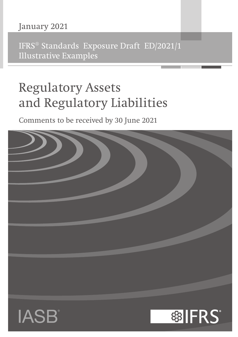## January 2021

IFRS® Standards Exposure Draft ED/2021/1 Illustrative Examples

# Regulatory Assets and Regulatory Liabilities

Comments to be received by 30 June 2021

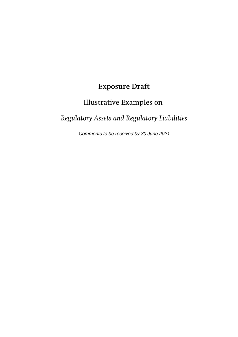## **Exposure Draft**

## Illustrative Examples on

## *Regulatory Assets and Regulatory Liabilities*

Comments to be received by 30 June 2021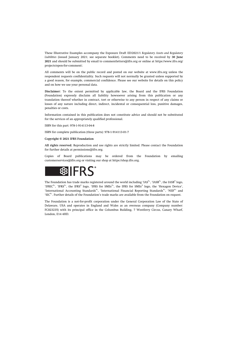These Illustrative Examples accompany the Exposure Draft ED/2021/1 *Regulatory Assets and Regulatory Liabilities* (issued January 2021; see separate booklet). Comments need to be received by **30 June 2021** and should be submitted by email to [commentletters@ifrs.org](mailto:commentletters@ifrs.org) or online at [https://www.ifrs.org/](https://www.ifrs.org/projects/open-for-comment/) [projects/open-for-comment/](https://www.ifrs.org/projects/open-for-comment/).

All comments will be on the public record and posted on our website at [www.ifrs.org](https://www.ifrs.org) unless the respondent requests confidentiality. Such requests will not normally be granted unless supported by a good reason, for example, commercial confidence. Please see our website for details on this policy and on how we use your personal data.

**Disclaimer:** To the extent permitted by applicable law, the Board and the IFRS Foundation (Foundation) expressly disclaim all liability howsoever arising from this publication or any translation thereof whether in contract, tort or otherwise to any person in respect of any claims or losses of any nature including direct, indirect, incidental or consequential loss, punitive damages, penalties or costs.

Information contained in this publication does not constitute advice and should not be substituted for the services of an appropriately qualified professional.

ISBN for this part: 978-1-914113-04-8

ISBN for complete publication (three parts): 978-1-914113-01-7

#### **Copyright © 2021 IFRS Foundation**

**All rights reserved.** Reproduction and use rights are strictly limited. Please contact the Foundation for further details at [permissions@ifrs.org](mailto:permissions@ifrs.org).

Copies of Board publications may be ordered from the Foundation by emailing [customerservices@ifrs.org](mailto:customerservices@ifrs.org) or visiting our shop at<https://shop.ifrs.org>.



The Foundation has trade marks registered around the world including 'IAS®', 'IASB®', the IASB® logo, 'IFRIC®', 'IFRS®', the IFRS® logo, 'IFRS for SMEs®', the IFRS for SMEs® logo, the 'Hexagon Device', 'International Accounting Standards®', 'International Financial Reporting Standards®', 'NIIF®' and  $^{\circ}\mathrm{SIC}^{\circ}$  . Further details of the Foundation's trade marks are available from the Foundation on request.

The Foundation is a not-for-profit corporation under the General Corporation Law of the State of Delaware, USA and operates in England and Wales as an overseas company (Company number: FC023235) with its principal office in the Columbus Building, 7 Westferry Circus, Canary Wharf, London, E14 4HD.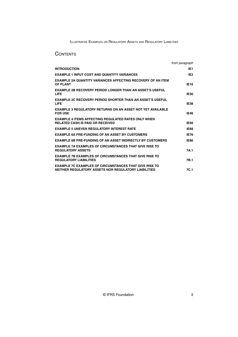## **CONTENTS**

|                                                                                                                       | from paragraph  |
|-----------------------------------------------------------------------------------------------------------------------|-----------------|
| <b>INTRODUCTION</b>                                                                                                   | IE1             |
| <b>EXAMPLE 1 INPUT COST AND QUANTITY VARIANCES</b>                                                                    | IE <sub>2</sub> |
| <b>EXAMPLE 2A QUANTITY VARIANCES AFFECTING RECOVERY OF AN ITEM</b><br><b>OF PLANT</b>                                 | <b>IE16</b>     |
| <b>EXAMPLE 2B RECOVERY PERIOD LONGER THAN AN ASSET'S USEFUL</b><br><b>LIFE</b>                                        | <b>IE30</b>     |
| <b>EXAMPLE 2C RECOVERY PERIOD SHORTER THAN AN ASSET'S USEFUL</b><br><b>LIFE</b>                                       | IE38            |
| <b>EXAMPLE 3 REGULATORY RETURNS ON AN ASSET NOT YET AVAILABLE</b><br><b>FOR USE</b>                                   | <b>IE46</b>     |
| <b>EXAMPLE 4 ITEMS AFFECTING REGULATED RATES ONLY WHEN</b><br><b>RELATED CASH IS PAID OR RECEIVED</b>                 | <b>IE56</b>     |
| <b>EXAMPLE 5 UNEVEN REGULATORY INTEREST RATE</b>                                                                      | <b>IE68</b>     |
| <b>EXAMPLE 6A PRE-FUNDING OF AN ASSET BY CUSTOMERS</b>                                                                | <b>IE76</b>     |
| <b>EXAMPLE 6B PRE-FUNDING OF AN ASSET INDIRECTLY BY CUSTOMERS</b>                                                     | <b>IE86</b>     |
| <b>EXAMPLE 7A EXAMPLES OF CIRCUMSTANCES THAT GIVE RISE TO</b><br><b>REGULATORY ASSETS</b>                             | 7A.1            |
| <b>EXAMPLE 7B EXAMPLES OF CIRCUMSTANCES THAT GIVE RISE TO</b><br><b>REGULATORY LIABILITIES</b>                        | 7B.1            |
| <b>EXAMPLE 7C EXAMPLES OF CIRCUMSTANCES THAT GIVE RISE TO</b><br>NEITHER REGULATORY ASSETS NOR REGULATORY LIABILITIES | 7C.1            |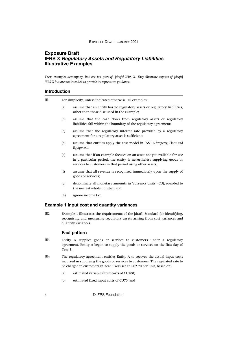## <span id="page-4-0"></span>**Exposure Draft IFRS X Regulatory Assets and Regulatory Liabilities Illustrative Examples**

*These examples accompany, but are not part of, [draft] IFRS X. They illustrate aspects of [draft] IFRS X but are not intended to provide interpretative guidance.*

#### **Introduction**

For simplicity, unless indicated otherwise, all examples: IE1

- (a) assume that an entity has no regulatory assets or regulatory liabilities, other than those discussed in the example;
- (b) assume that the cash flows from regulatory assets or regulatory liabilities fall within the boundary of the regulatory agreement;
- (c) assume that the regulatory interest rate provided by a regulatory agreement for a regulatory asset is sufficient;
- (d) assume that entities apply the cost model in IAS 16 *Property, Plant and Equipment*;
- (e) assume that if an example focuses on an asset not yet available for use in a particular period, the entity is nevertheless supplying goods or services to customers in that period using other assets;
- (f) assume that all revenue is recognised immediately upon the supply of goods or services;
- (g) denominate all monetary amounts in 'currency units' (CU), rounded to the nearest whole number; and
- (h) ignore income tax.

### **Example 1 Input cost and quantity variances**

Example 1 illustrates the requirements of the [draft] Standard for identifying, recognising and measuring regulatory assets arising from cost variances and quantity variances. IE2

#### **Fact pattern**

- Entity A supplies goods or services to customers under a regulatory agreement. Entity A began to supply the goods or services on the first day of Year 1. IE3
- The regulatory agreement entitles Entity A to recover the actual input costs incurred in supplying the goods or services to customers. The regulated rate to be charged to customers in Year 1 was set at CU2.70 per unit, based on: IE4
	- (a) estimated variable input costs of CU200;
	- (b) estimated fixed input costs of CU70; and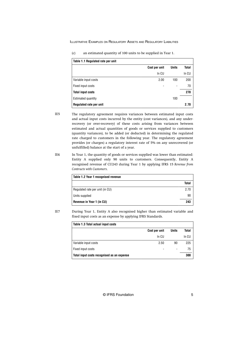| Table 1.1 Regulated rate per unit |               |              |       |
|-----------------------------------|---------------|--------------|-------|
|                                   | Cost per unit | <b>Units</b> | Total |
|                                   | In CU         |              | In CU |
| Variable input costs              | 2.00          | 100          | 200   |
| Fixed input costs                 |               |              | 70    |
| <b>Total input costs</b>          |               |              | 270   |
| Estimated quantity                |               | 100          |       |

**Regulated rate per unit 2.70**

(c) an estimated quantity of 100 units to be supplied in Year 1.

- The regulatory agreement requires variances between estimated input costs and actual input costs incurred by the entity (cost variances), and any underrecovery (or over-recovery) of these costs arising from variances between estimated and actual quantities of goods or services supplied to customers (quantity variances), to be added (or deducted) in determining the regulated rate charged to customers in the following year. The regulatory agreement provides (or charges) a regulatory interest rate of 5% on any unrecovered (or unfulfilled) balance at the start of a year. IE5
- In Year 1, the quantity of goods or services supplied was lower than estimated: Entity A supplied only 90 units to customers. Consequently, Entity A recognised revenue of CU243 during Year 1 by applying IFRS 15 *Revenue from Contracts with Customers*. IE6

| Table 1.2 Year 1 recognised revenue |       |
|-------------------------------------|-------|
|                                     | Total |
| Regulated rate per unit (in CU)     | 2.70  |
| Units supplied                      | 90    |
| Revenue in Year 1 (in CU)           | 243   |

IE7

During Year 1, Entity A also recognised higher than estimated variable and fixed input costs as an expense by applying IFRS Standards.

| Table 1.3 Total actual input costs         |               |                          |       |
|--------------------------------------------|---------------|--------------------------|-------|
|                                            | Cost per unit | <b>Units</b>             | Total |
|                                            | In CU         |                          | In CU |
| Variable input costs                       | 2.50          | 90                       | 225   |
| Fixed input costs                          |               | $\overline{\phantom{a}}$ | 75    |
| Total input costs recognised as an expense |               |                          | 300   |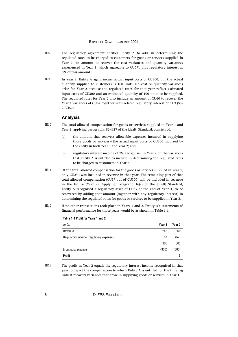- The regulatory agreement entitles Entity A to add, in determining the regulated rates to be charged to customers for goods or services supplied in Year 2, an amount to recover the cost variances and quantity variances experienced in Year 1 (which aggregate to CU57), plus regulatory interest at 5% of this amount. IE8
- In Year 2, Entity A again incurs actual input costs of CU300, but the actual quantity supplied to customers is 100 units. No cost or quantity variances arise for Year 2 because the regulated rates for that year reflect estimated input costs of CU300 and an estimated quantity of 100 units to be supplied. The regulated rates for Year 2 also include an amount of CU60 to recover the Year 1 variances of CU57 together with related regulatory interest of CU3 (5% × CU57). IE9

#### **Analysis**

- The total allowed compensation for goods or services supplied in Year 1 and Year 2, applying paragraphs B2–B27 of the [draft] Standard, consists of: IE10
	- (a) the amount that recovers allowable expenses incurred in supplying those goods or services—the actual input costs of CU300 incurred by the entity in both Year 1 and Year 2; and
	- (b) regulatory interest income of 5% recognised in Year 2 on the variances that Entity A is entitled to include in determining the regulated rates to be charged to customers in Year 2.
- Of the total allowed compensation for the goods or services supplied in Year 1, only CU243 was included in revenue in that year. The remaining part of that total allowed compensation (CU57 out of CU300) will be included in revenue in the future (Year 2). Applying paragraph 16(c) of the [draft] Standard, Entity A recognised a regulatory asset of CU57 at the end of Year 1, to be recovered by adding that amount (together with any regulatory interest) in determining the regulated rates for goods or services to be supplied in Year 2. IE11
- If no other transactions took place in Years 1 and 2, Entity A's statements of financial performance for those years would be as shown in Table 1.4. IE12

| Table 1.4 Profit for Years 1 and 2     |        |        |
|----------------------------------------|--------|--------|
| In CU                                  | Year 1 | Year 2 |
| Revenue                                | 243    | 360    |
| Regulatory income (regulatory expense) | 57     | (57)   |
|                                        | 300    | 303    |
| Input cost expense                     | (300)  | (300)  |
| <b>Profit</b>                          |        | 3      |

The profit in Year 2 equals the regulatory interest income recognised in that year to depict the compensation to which Entity A is entitled for the time lag until it recovers variances that arose in supplying goods or services in Year 1. IE13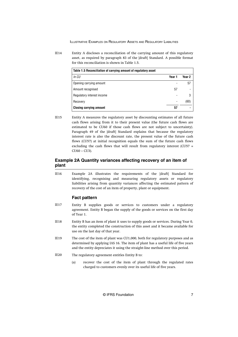<span id="page-7-0"></span>Entity A discloses a reconciliation of the carrying amount of this regulatory asset, as required by paragraph 83 of the [draft] Standard. A possible format for this reconciliation is shown in Table 1.5. IE14

| Table 1.5 Reconciliation of carrying amount of regulatory asset |                          |        |
|-----------------------------------------------------------------|--------------------------|--------|
| In CU                                                           | Year 1                   | Year 2 |
| Opening carrying amount                                         |                          | 57     |
| Amount recognised                                               | 57                       |        |
| Regulatory interest income                                      |                          | 3      |
| Recovery                                                        | $\overline{\phantom{0}}$ | (60)   |
| <b>Closing carrying amount</b>                                  | 57                       |        |

Entity A measures the regulatory asset by discounting estimates of all future cash flows arising from it to their present value (the future cash flows are estimated to be CU60 if those cash flows are not subject to uncertainty). Paragraph 49 of the [draft] Standard explains that because the regulatory interest rate is also the discount rate, the present value of the future cash flows (CU57) at initial recognition equals the sum of the future cash flows excluding the cash flows that will result from regulatory interest (CU57 = CU60 − CU3). IE15

### **Example 2A Quantity variances affecting recovery of an item of plant**

Example 2A illustrates the requirements of the [draft] Standard for identifying, recognising and measuring regulatory assets or regulatory liabilities arising from quantity variances affecting the estimated pattern of recovery of the cost of an item of property, plant or equipment. IE16

#### **Fact pattern**

- Entity B supplies goods or services to customers under a regulatory agreement. Entity B began the supply of the goods or services on the first day of Year 1. IE17
- Entity B has an item of plant it uses to supply goods or services. During Year 0, the entity completed the construction of this asset and it became available for use on the last day of that year. IE18
- The cost of the item of plant was CU1,000, both for regulatory purposes and as determined by applying IAS 16. The item of plant has a useful life of five years and the entity depreciates it using the straight-line method over this period. IE19
- The regulatory agreement entitles Entity B to: IE20
	- (a) recover the cost of the item of plant through the regulated rates charged to customers evenly over its useful life of five years.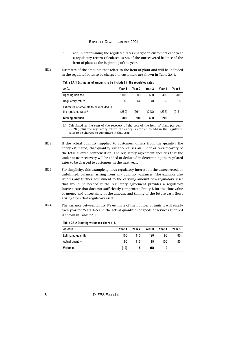- (b) add in determining the regulated rates charged to customers each year a regulatory return calculated as 8% of the unrecovered balance of the item of plant at the beginning of the year.
- Estimates of the amounts that relate to the item of plant and will be included in the regulated rates to be charged to customers are shown in Table 2A.1. IE21

| Table 2A.1 Estimates of amounts to be included in the regulated rates        |        |                                                                                                                                                                                                                                                                                                                   |        |               |        |  |
|------------------------------------------------------------------------------|--------|-------------------------------------------------------------------------------------------------------------------------------------------------------------------------------------------------------------------------------------------------------------------------------------------------------------------|--------|---------------|--------|--|
| In CU                                                                        | Year 1 | Year 2                                                                                                                                                                                                                                                                                                            | Year 3 | Year 4        | Year 5 |  |
| Opening balance                                                              | 1.000  | 800                                                                                                                                                                                                                                                                                                               | 600    | 400           | 200    |  |
| Regulatory return                                                            | 80     | 64                                                                                                                                                                                                                                                                                                                | 48     | 32            | 16     |  |
| Estimates of amounts to be included in<br>the regulated rates <sup>(a)</sup> | (280)  | (264)                                                                                                                                                                                                                                                                                                             | (248)  | (232)         | (216)  |  |
| <b>Closing balance</b>                                                       | 800    | 600                                                                                                                                                                                                                                                                                                               | 400    | 200           |        |  |
| $\sim$ $\sim$ $\sim$                                                         |        | $\mathcal{C}$ and $\mathcal{C}$ and $\mathcal{C}$ and $\mathcal{C}$ and $\mathcal{C}$ and $\mathcal{C}$ and $\mathcal{C}$ and $\mathcal{C}$ and $\mathcal{C}$ and $\mathcal{C}$ and $\mathcal{C}$ and $\mathcal{C}$ and $\mathcal{C}$ and $\mathcal{C}$ and $\mathcal{C}$ and $\mathcal{C}$ and $\mathcal{C}$ and |        | $\sim$ $\sim$ |        |  |

(a) Calculated as the sum of the recovery of the cost of the item of plant per year (CU200) plus the regulatory return the entity is entitled to add in the regulated rates to be charged to customers in that year.

- If the actual quantity supplied to customers differs from the quantity the entity estimated, that quantity variance causes an under or over-recovery of the total allowed compensation. The regulatory agreement specifies that the under or over-recovery will be added or deducted in determining the regulated rates to be charged to customers in the next year. IE22
- For simplicity, this example ignores regulatory interest on the unrecovered, or unfulfilled, balances arising from any quantity variances. The example also ignores any further adjustment to the carrying amount of a regulatory asset that would be needed if the regulatory agreement provides a regulatory interest rate that does not sufficiently compensate Entity B for the time value of money and uncertainty in the amount and timing of the future cash flows arising from that regulatory asset. IE23
- The variance between Entity B's estimate of the number of units it will supply each year for Years 1–5 and the actual quantities of goods or services supplied is shown in Table 2A.2. IE24

| Table 2A.2 Quantity variances Years 1–5 |        |        |        |        |        |
|-----------------------------------------|--------|--------|--------|--------|--------|
| In units                                | Year 1 | Year 2 | Year 3 | Year 4 | Year 5 |
| Estimated quantity                      | 100    | 110    | 120    | 90     | 80     |
| Actual quantity                         | 90     | 115    | 115    | 100    | 80     |
| Variance                                | (10)   | 5      | (5)    | 10     |        |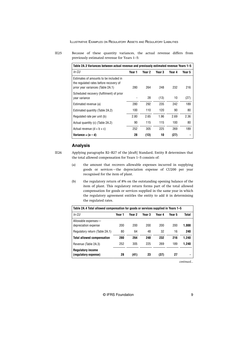Because of these quantity variances, the actual revenue differs from previously estimated revenue for Years 1–5: IE25

| Table 2A.3 Variances between actual revenue and previously estimated revenue Years 1–5                                |        |        |        |        |        |
|-----------------------------------------------------------------------------------------------------------------------|--------|--------|--------|--------|--------|
| In CU                                                                                                                 | Year 1 | Year 2 | Year 3 | Year 4 | Year 5 |
| Estimates of amounts to be included in<br>the regulated rates before recovery of<br>prior year variances (Table 2A.1) | 280    | 264    | 248    | 232    | 216    |
| Scheduled recovery (fulfilment) of prior<br>year variance                                                             |        | 28     | (13)   | 10     | (27)   |
| Estimated revenue (a)                                                                                                 | 280    | 292    | 235    | 242    | 189    |
| Estimated quantity (Table 2A.2)                                                                                       | 100    | 110    | 120    | 90     | 80     |
| Regulated rate per unit (b)                                                                                           | 2.80   | 2.65   | 1.96   | 2.69   | 2.36   |
| Actual quantity (c) (Table 2A.2)                                                                                      | 90     | 115    | 115    | 100    | 80     |
| Actual revenue $(d = b \times c)$                                                                                     | 252    | 305    | 225    | 269    | 189    |
| Variance = $(a - d)$                                                                                                  | 28     | (13)   | 10     | (27)   |        |

#### **Analysis**

Applying paragraphs B2–B27 of the [draft] Standard, Entity B determines that the total allowed compensation for Years 1–5 consists of: IE26

- (a) the amount that recovers allowable expenses incurred in supplying goods or services—the depreciation expense of CU200 per year recognised for the item of plant.
- (b) the regulatory return of 8% on the outstanding opening balance of the item of plant. This regulatory return forms part of the total allowed compensation for goods or services supplied in the same year in which the regulatory agreement entitles the entity to add it in determining the regulated rates.

| Table 2A.4 Total allowed compensation for goods or services supplied in Years 1–5 |        |        |        |        |        |       |  |
|-----------------------------------------------------------------------------------|--------|--------|--------|--------|--------|-------|--|
| In CU                                                                             | Year 1 | Year 2 | Year 3 | Year 4 | Year 5 | Total |  |
| Allowable expenses-<br>depreciation expense                                       | 200    | 200    | 200    | 200    | 200    | 1,000 |  |
| Regulatory return (Table 2A.1)                                                    | 80     | 64     | 48     | 32     | 16     | 240   |  |
| <b>Total allowed compensation</b>                                                 | 280    | 264    | 248    | 232    | 216    | 1.240 |  |
| Revenue (Table 2A.3)                                                              | 252    | 305    | 225    | 269    | 189    | 1.240 |  |
| <b>Regulatory income</b><br>(regulatory expense)                                  | 28     | (41)   | 23     | (37)   | 27     |       |  |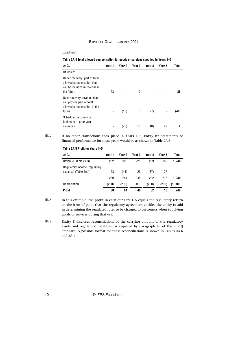*...continued*

| Table 2A.4 Total allowed compensation for goods or services supplied in Years 1-5                          |        |        |        |        |        |       |
|------------------------------------------------------------------------------------------------------------|--------|--------|--------|--------|--------|-------|
| In CU                                                                                                      | Year 1 | Year 2 | Year 3 | Year 4 | Year 5 | Total |
| Of which:                                                                                                  |        |        |        |        |        |       |
| Under-recovery: part of total<br>allowed compensation that<br>will be included in revenue in<br>the future | 28     |        | 10     |        |        | 38    |
| Over-recovery: revenue that<br>will provide part of total<br>allowed compensation in the<br>future         |        | (13)   |        | (27)   |        | (40)  |
| Scheduled recovery or<br>fulfilment of prior year<br>variances                                             |        | (28)   | 13     | (10)   | 27     |       |

IE27

If no other transactions took place in Years 1–5, Entity B's statements of financial performance for these years would be as shown in Table 2A.5.

| Table 2A.5 Profit for Years 1-5 |        |        |        |        |        |                |
|---------------------------------|--------|--------|--------|--------|--------|----------------|
| In CU                           | Year 1 | Year 2 | Year 3 | Year 4 | Year 5 | Total          |
| Revenue (Table 2A.3)            | 252    | 305    | 225    | 269    | 189    | 1.240          |
| Regulatory income (regulatory   |        |        |        |        |        |                |
| expense) (Table 2A.4)           | 28     | (41)   | 23     | (37)   | 27     | $\blacksquare$ |
|                                 | 280    | 264    | 248    | 232    | 216    | 1.240          |
| Depreciation                    | (200)  | (200)  | (200)  | (200)  | (200)  | (1,000)        |
| Profit                          | 80     | 64     | 48     | 32     | 16     | 240            |

IE28

In this example, the profit in each of Years 1–5 equals the regulatory return on the item of plant that the regulatory agreement entitles the entity to add in determining the regulated rates to be charged to customers when supplying goods or services during that year.

Entity B discloses reconciliations of the carrying amount of the regulatory assets and regulatory liabilities, as required by paragraph 83 of the [draft] Standard. A possible format for these reconciliations is shown in Tables 2A.6 and 2A.7. IE29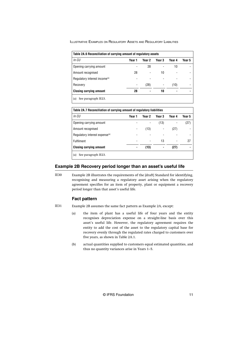<span id="page-11-0"></span>

| Table 2A.6 Reconciliation of carrying amount of regulatory assets |        |                |        |        |        |  |  |  |  |
|-------------------------------------------------------------------|--------|----------------|--------|--------|--------|--|--|--|--|
| In CU                                                             | Year 1 | Year 2         | Year 3 | Year 4 | Year 5 |  |  |  |  |
| Opening carrying amount                                           |        | 28             |        | 10     |        |  |  |  |  |
| Amount recognised                                                 | 28     |                | 10     |        |        |  |  |  |  |
| Regulatory interest income <sup>(a)</sup>                         |        |                |        |        |        |  |  |  |  |
| Recovery                                                          |        | (28)           |        | (10)   |        |  |  |  |  |
| <b>Closing carrying amount</b>                                    | 28     | $\blacksquare$ | 10     |        |        |  |  |  |  |
| See paragraph IE23.<br>(a)                                        |        |                |        |        |        |  |  |  |  |

| Table 2A.7 Reconciliation of carrying amount of regulatory liabilities |        |        |        |                          |                |  |  |  |  |
|------------------------------------------------------------------------|--------|--------|--------|--------------------------|----------------|--|--|--|--|
| In CU                                                                  | Year 1 | Year 2 | Year 3 | Year 4                   | Year 5         |  |  |  |  |
| Opening carrying amount                                                |        |        | (13)   |                          | (27)           |  |  |  |  |
| Amount recognised                                                      |        | (13)   |        | (27)                     |                |  |  |  |  |
| Regulatory interest expense <sup>(a)</sup>                             |        |        |        |                          |                |  |  |  |  |
| <b>Fulfilment</b>                                                      |        |        | 13     | $\overline{\phantom{0}}$ | 27             |  |  |  |  |
| <b>Closing carrying amount</b>                                         |        | (13)   |        | (27)                     | $\blacksquare$ |  |  |  |  |
| See paragraph IE23.<br>(a)                                             |        |        |        |                          |                |  |  |  |  |

### **Example 2B Recovery period longer than an asset's useful life**

Example 2B illustrates the requirements of the [draft] Standard for identifying, recognising and measuring a regulatory asset arising when the regulatory agreement specifies for an item of property, plant or equipment a recovery period longer than that asset's useful life. IE30

#### **Fact pattern**

- Example 2B assumes the same fact pattern as Example 2A, except: IE31
	- (a) the item of plant has a useful life of four years and the entity recognises depreciation expense on a straight-line basis over this asset's useful life. However, the regulatory agreement requires the entity to add the cost of the asset to the regulatory capital base for recovery evenly through the regulated rates charged to customers over five years, as shown in Table 2A.1.
	- (b) actual quantities supplied to customers equal estimated quantities, and thus no quantity variances arise in Years 1–5.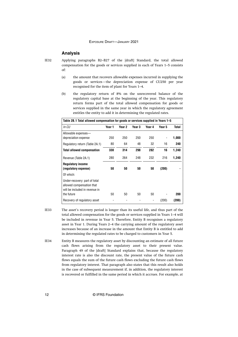#### **Analysis**

```
IE32
```
Applying paragraphs B2–B27 of the [draft] Standard, the total allowed compensation for the goods or services supplied in each of Years 1–5 consists of:

- (a) the amount that recovers allowable expenses incurred in supplying the goods or services—the depreciation expense of CU250 per year recognised for the item of plant for Years 1–4.
- (b) the regulatory return of 8% on the unrecovered balance of the regulatory capital base at the beginning of the year. This regulatory return forms part of the total allowed compensation for goods or services supplied in the same year in which the regulatory agreement entitles the entity to add it in determining the regulated rates.

|                                                                                              | Table 2B.1 Total allowed compensation for goods or services supplied in Years 1–5 |        |        |        |        |       |  |  |
|----------------------------------------------------------------------------------------------|-----------------------------------------------------------------------------------|--------|--------|--------|--------|-------|--|--|
| In CU                                                                                        | Year 1                                                                            | Year 2 | Year 3 | Year 4 | Year 5 | Total |  |  |
| Allowable expenses-<br>depreciation expense                                                  | 250                                                                               | 250    | 250    | 250    |        | 1,000 |  |  |
| Regulatory return (Table 2A.1)                                                               | 80                                                                                | 64     | 48     | 32     | 16     | 240   |  |  |
| <b>Total allowed compensation</b>                                                            | 330                                                                               | 314    | 298    | 282    | 16     | 1,240 |  |  |
| Revenue (Table 2A.1)                                                                         | 280                                                                               | 264    | 248    | 232    | 216    | 1,240 |  |  |
| <b>Regulatory income</b><br>(requiatory expense)                                             | 50                                                                                | 50     | 50     | 50     | (200)  |       |  |  |
| Of which:                                                                                    |                                                                                   |        |        |        |        |       |  |  |
| Under-recovery: part of total<br>allowed compensation that<br>will be included in revenue in |                                                                                   |        |        |        |        |       |  |  |
| the future                                                                                   | 50                                                                                | 50     | 50     | 50     |        | 200   |  |  |
| Recovery of regulatory asset                                                                 |                                                                                   |        |        |        | (200)  | (200) |  |  |

- The asset's recovery period is longer than its useful life, and thus part of the total allowed compensation for the goods or services supplied in Years 1–4 will be included in revenue in Year 5. Therefore, Entity B recognises a regulatory asset in Year 1. During Years 2–4 the carrying amount of the regulatory asset increases because of an increase in the amount that Entity B is entitled to add in determining the regulated rates to be charged to customers in Year 5. IE33
- Entity B measures the regulatory asset by discounting an estimate of all future cash flows arising from the regulatory asset to their present value. Paragraph 49 of the [draft] Standard explains that, because the regulatory interest rate is also the discount rate, the present value of the future cash flows equals the sum of the future cash flows excluding the future cash flows from regulatory interest. That paragraph also states that this result also holds in the case of subsequent measurement if, in addition, the regulatory interest is recovered or fulfilled in the same period in which it accrues. For example, at IE34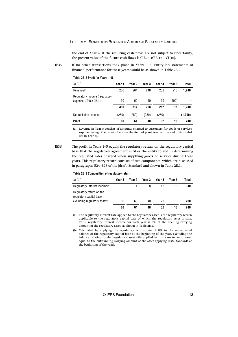the end of Year 4, if the resulting cash flows are not subject to uncertainty, the present value of the future cash flows is CU200 (CU216 − CU16).

If no other transactions took place in Years 1–5, Entity B's statements of financial performance for these years would be as shown in Table 2B.2.

| Table 2B.2 Profit for Years 1-5                        |        |                   |        |        |        |                |
|--------------------------------------------------------|--------|-------------------|--------|--------|--------|----------------|
| In CU                                                  | Year 1 | Year <sub>2</sub> | Year 3 | Year 4 | Year 5 | Total          |
| Revenue <sup>(a)</sup>                                 | 280    | 264               | 248    | 232    | 216    | 1.240          |
| Regulatory income (regulatory<br>expense) (Table 2B.1) | 50     | 50                | 50     | 50     | (200)  | $\blacksquare$ |
|                                                        | 330    | 314               | 298    | 282    | 16     | 1.240          |
| Depreciation expense                                   | (250)  | (250)             | (250)  | (250)  | -      | (1,000)        |
| <b>Profit</b>                                          | 80     | 64                | 48     | 32     | 16     | 240            |

(a) Revenue in Year 5 consists of amounts charged to customers for goods or services supplied using other assets (because the item of plant reached the end of its useful life in Year 4).

IE36

IE35

The profit in Years 1–5 equals the regulatory return on the regulatory capital base that the regulatory agreement entitles the entity to add in determining the regulated rates charged when supplying goods or services during these years. This regulatory return consists of two components, which are discussed in paragraphs B24–B26 of the [draft] Standard and shown in Table 2B.3.

| Table 2B.3 Composition of regulatory return          |        |        |        |        |        |       |  |  |  |
|------------------------------------------------------|--------|--------|--------|--------|--------|-------|--|--|--|
| In CU                                                | Year 1 | Year 2 | Year 3 | Year 4 | Year 5 | Total |  |  |  |
| Regulatory interest income <sup>(a)</sup>            |        | 4      | 8      | 12     | 16     | 40    |  |  |  |
| Regulatory return on the<br>regulatory capital base, |        |        |        |        |        |       |  |  |  |
| excluding regulatory asset <sup>(b)</sup>            | 80     | 60     | 40     | 20     | ۰      | 200   |  |  |  |
|                                                      | 80     | 64     | 48     | 32     | 16     | 240   |  |  |  |
|                                                      |        |        |        |        |        |       |  |  |  |

(a) The regulatory interest rate applied to the regulatory asset is the regulatory return applicable to the regulatory capital base of which the regulatory asset is part. Thus, regulatory interest income for each year is 8% of the opening carrying amount of the regulatory asset, as shown in [Table 2B.4](#page-14-0).

(b) Calculated by applying the regulatory return rate of 8% to the unrecovered balance of the regulatory capital base at the beginning of the year, excluding the balance relating to the regulatory asset (8% applied in this case to an amount equal to the outstanding carrying amount of the asset applying IFRS Standards at the beginning of the year).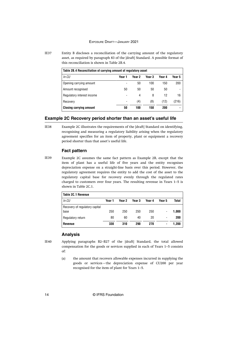<span id="page-14-0"></span>Entity B discloses a reconciliation of the carrying amount of the regulatory asset, as required by paragraph 83 of the [draft] Standard. A possible format of this reconciliation is shown in Table 2B.4. IE37

| Table 2B.4 Reconciliation of carrying amount of regulatory asset |        |        |        |        |        |  |  |  |  |
|------------------------------------------------------------------|--------|--------|--------|--------|--------|--|--|--|--|
| In CU                                                            | Year 1 | Year 2 | Year 3 | Year 4 | Year 5 |  |  |  |  |
| Opening carrying amount                                          |        | 50     | 100    | 150    | 200    |  |  |  |  |
| Amount recognised                                                | 50     | 50     | 50     | 50     |        |  |  |  |  |
| Regulatory interest income                                       | -      | 4      | 8      | 12     | 16     |  |  |  |  |
| Recovery                                                         | -      | (4)    | (8)    | (12)   | (216)  |  |  |  |  |
| <b>Closing carrying amount</b>                                   | 50     | 100    | 150    | 200    |        |  |  |  |  |

#### **Example 2C Recovery period shorter than an asset's useful life**

Example 2C illustrates the requirements of the [draft] Standard on identifying, recognising and measuring a regulatory liability arising when the regulatory agreement specifies for an item of property, plant or equipment a recovery period shorter than that asset's useful life.

### **Fact pattern**

Example 2C assumes the same fact pattern as Example 2B, except that the item of plant has a useful life of five years and the entity recognises depreciation expense on a straight-line basis over this period. However, the regulatory agreement requires the entity to add the cost of the asset to the regulatory capital base for recovery evenly through the regulated rates charged to customers over four years. The resulting revenue in Years 1–5 is shown in Table 2C.1. IE39

| Table 2C.1 Revenue             |        |        |        |        |                          |              |
|--------------------------------|--------|--------|--------|--------|--------------------------|--------------|
| In CU                          | Year 1 | Year 2 | Year 3 | Year 4 | Year 5                   | <b>Total</b> |
| Recovery of regulatory capital |        |        |        |        |                          |              |
| base                           | 250    | 250    | 250    | 250    | $\overline{\phantom{0}}$ | 1.000        |
| Regulatory return              | 80     | 60     | 40     | 20     | $\overline{\phantom{0}}$ | 200          |
| <b>Revenue</b>                 | 330    | 310    | 290    | 270    | ۰                        | 1.200        |

## **Analysis**

IE40

Applying paragraphs B2–B27 of the [draft] Standard, the total allowed compensation for the goods or services supplied in each of Years 1–5 consists of:

(a) the amount that recovers allowable expenses incurred in supplying the goods or services—the depreciation expense of CU200 per year recognised for the item of plant for Years 1–5.

IE38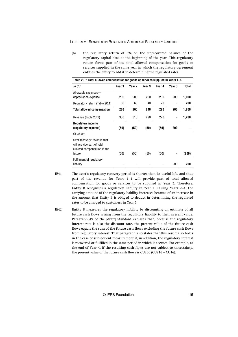(b) the regulatory return of 8% on the unrecovered balance of the regulatory capital base at the beginning of the year. This regulatory return forms part of the total allowed compensation for goods or services supplied in the same year in which the regulatory agreement entitles the entity to add it in determining the regulated rates.

|                                                                                          | Table 2C.2 Total allowed compensation for goods or services supplied in Years 1–5 |        |        |        |        |       |  |  |  |
|------------------------------------------------------------------------------------------|-----------------------------------------------------------------------------------|--------|--------|--------|--------|-------|--|--|--|
| In CU                                                                                    | Year 1                                                                            | Year 2 | Year 3 | Year 4 | Year 5 | Total |  |  |  |
| Allowable expenses-<br>depreciation expense                                              | 200                                                                               | 200    | 200    | 200    | 200    | 1,000 |  |  |  |
| Regulatory return (Table 2C.1)                                                           | 80                                                                                | 60     | 40     | 20     |        | 200   |  |  |  |
| <b>Total allowed compensation</b>                                                        | 280                                                                               | 260    | 240    | 220    | 200    | 1,200 |  |  |  |
| Revenue (Table 2C.1)                                                                     | 330                                                                               | 310    | 290    | 270    |        | 1,200 |  |  |  |
| <b>Regulatory income</b><br>(regulatory expense)                                         | (50)                                                                              | (50)   | (50)   | (50)   | 200    |       |  |  |  |
| Of which:                                                                                |                                                                                   |        |        |        |        |       |  |  |  |
| Over-recovery: revenue that<br>will provide part of total<br>allowed compensation in the |                                                                                   |        |        |        |        |       |  |  |  |
| future                                                                                   | (50)                                                                              | (50)   | (50)   | (50)   |        | (200) |  |  |  |
| Fulfilment of regulatory<br>liability                                                    |                                                                                   |        |        |        | 200    | 200   |  |  |  |

- The asset's regulatory recovery period is shorter than its useful life, and thus part of the revenue for Years 1–4 will provide part of total allowed compensation for goods or services to be supplied in Year 5. Therefore, Entity B recognises a regulatory liability in Year 1. During Years 2–4, the carrying amount of the regulatory liability increases because of an increase in the amount that Entity B is obliged to deduct in determining the regulated rates to be charged to customers in Year 5. IE41
- Entity B measures the regulatory liability by discounting an estimate of all future cash flows arising from the regulatory liability to their present value. Paragraph 49 of the [draft] Standard explains that, because the regulatory interest rate is also the discount rate, the present value of the future cash flows equals the sum of the future cash flows excluding the future cash flows from regulatory interest. That paragraph also states that this result also holds in the case of subsequent measurement if, in addition, the regulatory interest is recovered or fulfilled in the same period in which it accrues. For example, at the end of Year 4, if the resulting cash flows are not subject to uncertainty, the present value of the future cash flows is CU200 (CU216 – CU16). IE42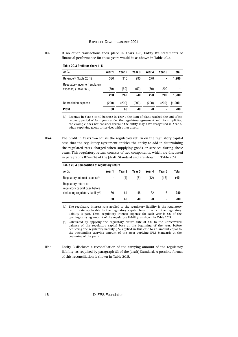| IE43 | If no other transactions took place in Years $1-5$ , Entity B's statements of |
|------|-------------------------------------------------------------------------------|
|      | financial performance for these years would be as shown in Table 2C.3.        |

| Table 2C.3 Profit for Years 1-5 |        |        |        |                |              |
|---------------------------------|--------|--------|--------|----------------|--------------|
| Year 1                          | Year 2 | Year 3 | Year 4 | Year 5         | <b>Total</b> |
| 330                             | 310    | 290    | 270    | -              | 1,200        |
| (50)                            | (50)   | (50)   | (50)   | 200            |              |
| 280                             | 260    | 240    | 220    | 200            | 1.200        |
| (200)                           | (200)  | (200)  | (200)  | (200)          | (1,000)      |
| 80                              | 60     | 40     | 20     | $\blacksquare$ | 200          |
|                                 |        |        |        |                |              |

(a) Revenue in Year 5 is nil because in Year 4 the item of plant reached the end of its recovery period of four years under the regulatory agreement and, for simplicity, the example does not consider revenue the entity may have recognised in Year 5 when supplying goods or services with other assets.

The profit in Years 1–4 equals the regulatory return on the regulatory capital base that the regulatory agreement entitles the entity to add in determining the regulated rates charged when supplying goods or services during these years. This regulatory return consists of two components, which are discussed in paragraphs B24–B26 of the [draft] Standard and are shown in Table 2C.4. IE44

| Table 2C.4 Composition of regulatory return            |        |        |        |        |        |       |
|--------------------------------------------------------|--------|--------|--------|--------|--------|-------|
| In CU                                                  | Year 1 | Year 2 | Year 3 | Year 4 | Year 5 | Total |
| Regulatory interest expense <sup>(a)</sup>             |        | (4)    | (8)    | (12)   | (16)   | (40)  |
| Regulatory return on<br>regulatory capital base before |        |        |        |        |        |       |
| deducting regulatory liability <sup>(b)</sup>          | 80     | 64     | 48     | 32     | 16     | 240   |
|                                                        | 80     | 60     | 40     | 20     |        | 200   |

(a) The regulatory interest rate applied to the regulatory liability is the regulatory return rate applicable to the regulatory capital base of which the regulatory liability is part. Thus, regulatory interest expense for each year is 8% of the opening carrying amount of the regulatory liability, as shown in Table 2C.5.

(b) Calculated by applying the regulatory return rate of 8% to the unrecovered balance of the regulatory capital base at the beginning of the year, before deducting the regulatory liability (8% applied in this case to an amount equal to the outstanding carrying amount of the asset applying IFRS Standards at the beginning of the year).

Entity B discloses a reconciliation of the carrying amount of the regulatory liability, as required by paragraph 83 of the [draft] Standard. A possible format of this reconciliation is shown in Table 2C.5. IE45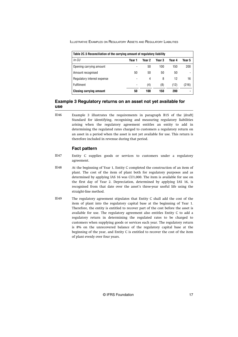<span id="page-17-0"></span>

| Table 2C.5 Reconciliation of the carrying amount of regulatory liability |        |        |        |        |        |  |  |  |  |
|--------------------------------------------------------------------------|--------|--------|--------|--------|--------|--|--|--|--|
| In CU                                                                    | Year 1 | Year 2 | Year 3 | Year 4 | Year 5 |  |  |  |  |
| Opening carrying amount                                                  | -      | 50     | 100    | 150    | 200    |  |  |  |  |
| Amount recognised                                                        | 50     | 50     | 50     | 50     |        |  |  |  |  |
| Regulatory interest expense                                              | -      | 4      | 8      | 12     | 16     |  |  |  |  |
| <b>Fulfilment</b>                                                        | -      | (4)    | (8)    | (12)   | (216)  |  |  |  |  |
| <b>Closing carrying amount</b>                                           | 50     | 100    | 150    | 200    |        |  |  |  |  |

## **Example 3 Regulatory returns on an asset not yet available for use**

Example 3 illustrates the requirements in paragraph B15 of the [draft] Standard for identifying, recognising and measuring regulatory liabilities arising when the regulatory agreement entitles an entity to add in determining the regulated rates charged to customers a regulatory return on an asset in a period when the asset is not yet available for use. This return is therefore included in revenue during that period. IE46

### **Fact pattern**

- Entity C supplies goods or services to customers under a regulatory agreement. IE47
- At the beginning of Year 1, Entity C completed the construction of an item of plant. The cost of the item of plant both for regulatory purposes and as determined by applying IAS 16 was CU1,000. The item is available for use on the first day of Year 2. Depreciation, determined by applying IAS 16, is recognised from that date over the asset's three-year useful life using the straight-line method. IE48
- The regulatory agreement stipulates that Entity C shall add the cost of the item of plant into the regulatory capital base at the beginning of Year 1. Therefore, the entity is entitled to recover part of the cost before the asset is available for use. The regulatory agreement also entitles Entity C to add a regulatory return in determining the regulated rates to be charged to customers when supplying goods or services each year. The regulatory return is 8% on the unrecovered balance of the regulatory capital base at the beginning of the year, and Entity C is entitled to recover the cost of the item of plant evenly over four years. IE49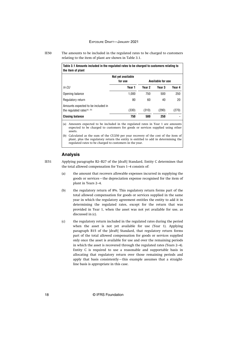The amounts to be included in the regulated rates to be charged to customers relating to the item of plant are shown in Table 3.1. IE50

| Table 3.1 Amounts included in the regulated rates to be charged to customers relating to<br>the item of plant |                              |        |                          |        |
|---------------------------------------------------------------------------------------------------------------|------------------------------|--------|--------------------------|--------|
|                                                                                                               | Not yet available<br>for use |        | <b>Available for use</b> |        |
| In CU                                                                                                         | Year 1                       | Year 2 | Year 3                   | Year 4 |
| Opening balance                                                                                               | 1.000                        | 750    | 500                      | 250    |
| Regulatory return                                                                                             | 80                           | 60     | 40                       | 20     |
| Amounts expected to be included in<br>the regulated rates <sup>(a), (b)</sup>                                 | (330)                        | (310)  | (290)                    | (270)  |
| <b>Closing balance</b>                                                                                        | 750                          | 500    | 250                      | -      |

(a) Amounts expected to be included in the regulated rates in Year 1 are amounts expected to be charged to customers for goods or services supplied using other assets.

(b) Calculated as the sum of the CU250 per year recovery of the cost of the item of plant, plus the regulatory return the entity is entitled to add in determining the regulated rates to be charged to customers in the year.

#### **Analysis**

IE51

Applying paragraphs B2–B27 of the [draft] Standard, Entity C determines that the total allowed compensation for Years 1–4 consists of:

- (a) the amount that recovers allowable expenses incurred in supplying the goods or services—the depreciation expense recognised for the item of plant in Years 2–4.
- (b) the regulatory return of 8%. This regulatory return forms part of the total allowed compensation for goods or services supplied in the same year in which the regulatory agreement entitles the entity to add it in determining the regulated rates, except for the return that was provided in Year 1, when the asset was not yet available for use, as discussed in (c).
- (c) the regulatory return included in the regulated rates during the period when the asset is not yet available for use (Year 1). Applying paragraph B15 of the [draft] Standard, that regulatory return forms part of the total allowed compensation for goods or services supplied only once the asset is available for use and over the remaining periods in which the asset is recovered through the regulated rates (Years 2–4). Entity C is required to use a reasonable and supportable basis in allocating that regulatory return over those remaining periods and apply that basis consistently—this example assumes that a straightline basis is appropriate in this case.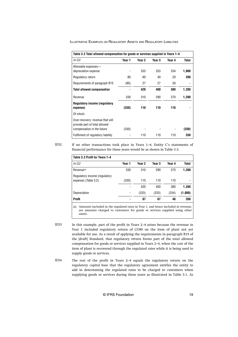| Table 3.2 Total allowed compensation for goods or services supplied in Years 1-4                |        |        |        |        |              |
|-------------------------------------------------------------------------------------------------|--------|--------|--------|--------|--------------|
| In CU                                                                                           | Year 1 | Year 2 | Year 3 | Year 4 | <b>Total</b> |
| Allowable expenses-<br>depreciation expense                                                     |        | 333    | 333    | 334    | 1,000        |
| Regulatory return                                                                               | 80     | 60     | 40     | 20     | 200          |
| Requirements of paragraph B15                                                                   | (80)   | 27     | 27     | 26     |              |
| <b>Total allowed compensation</b>                                                               |        | 420    | 400    | 380    | 1,200        |
| Revenue                                                                                         | 330    | 310    | 290    | 270    | 1,200        |
| <b>Regulatory income (regulatory</b><br>expense)                                                | (330)  | 110    | 110    | 110    |              |
| Of which:                                                                                       |        |        |        |        |              |
| Over-recovery: revenue that will<br>provide part of total allowed<br>compensation in the future | (330)  |        |        |        | (330)        |
| Fulfilment of regulatory liability                                                              |        | 110    | 110    | 110    | 330          |

If no other transactions took place in Years 1–4, Entity C's statements of financial performance for these years would be as shown in Table 3.3. IE52

| Table 3.3 Profit for Years 1-4                        |                |        |        |        |         |
|-------------------------------------------------------|----------------|--------|--------|--------|---------|
| In CU                                                 | Year 1         | Year 2 | Year 3 | Year 4 | Total   |
| Revenue <sup>(a)</sup>                                | 330            | 310    | 290    | 270    | 1,200   |
| Regulatory income (regulatory<br>expense) (Table 3.2) | (330)          | 110    | 110    | 110    |         |
|                                                       |                | 420    | 400    | 380    | 1.200   |
| Depreciation                                          |                | (333)  | (333)  | (334)  | (1,000) |
| <b>Profit</b>                                         | $\blacksquare$ | 87     | 67     | 46     | 200     |

(a) Amounts included in the regulated rates in Year 1, and hence included in revenue, are amounts charged to customers for goods or services supplied using other assets.

In this example, part of the profit in Years 2–4 arises because the revenue in Year 1 included regulatory return of CU80 on the item of plant not yet available for use. As a result of applying the requirements in paragraph B15 of the [draft] Standard, that regulatory return forms part of the total allowed compensation for goods or services supplied in Years 2–4, when the cost of the item of plant is recovered through the regulated rates while it is being used to supply goods or services. IE53

The rest of the profit in Years 2–4 equals the regulatory return on the regulatory capital base that the regulatory agreement entitles the entity to add in determining the regulated rates to be charged to customers when supplying goods or services during these years as illustrated in Table 3.1. As IE54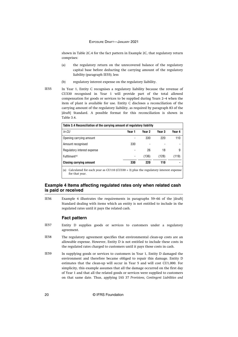<span id="page-20-0"></span>shown in Table 2C.4 for the fact pattern in Example 2C, that regulatory return comprises:

- (a) the regulatory return on the unrecovered balance of the regulatory capital base before deducting the carrying amount of the regulatory liability (paragraph IE55); less
- (b) regulatory interest expense on the regulatory liability.
- In Year 1, Entity C recognises a regulatory liability because the revenue of CU330 recognised in Year 1 will provide part of the total allowed compensation for goods or services to be supplied during Years 2–4 when the item of plant is available for use. Entity C discloses a reconciliation of the carrying amount of the regulatory liability, as required by paragraph 83 of the [draft] Standard. A possible format for this reconciliation is shown in Table 3.4.

| Table 3.4 Reconciliation of the carrying amount of regulatory liability                                          |        |        |        |        |  |
|------------------------------------------------------------------------------------------------------------------|--------|--------|--------|--------|--|
| In CU                                                                                                            | Year 1 | Year 2 | Year 3 | Year 4 |  |
| Opening carrying amount                                                                                          |        | 330    | 220    | 110    |  |
| Amount recognised                                                                                                | 330    | -      |        |        |  |
| Regulatory interest expense                                                                                      |        | 26     | 18     | 9      |  |
| Fulfilment <sup>(a)</sup>                                                                                        |        | (136)  | (128)  | (119)  |  |
| <b>Closing carrying amount</b>                                                                                   | 330    | 220    | 110    |        |  |
| Calculated for each year as CU110 (CU330 $\div$ 3) plus the regulatory interest expense<br>(a)<br>for that year. |        |        |        |        |  |

#### **Example 4 Items affecting regulated rates only when related cash is paid or received**

Example 4 illustrates the requirements in paragraphs 59–66 of the [draft] Standard dealing with items which an entity is not entitled to include in the regulated rates until it pays the related cash. IE56

#### **Fact pattern**

- Entity D supplies goods or services to customers under a regulatory agreement. IE57
- The regulatory agreement specifies that environmental clean-up costs are an allowable expense. However, Entity D is not entitled to include these costs in the regulated rates charged to customers until it pays those costs in cash. IE58
- In supplying goods or services to customers in Year 1, Entity D damaged the environment and therefore became obliged to repair this damage. Entity D estimates that the clean-up will occur in Year 5 and will cost CU1,000. For simplicity, this example assumes that all the damage occurred on the first day of Year 1 and that all the related goods or services were supplied to customers on that same date. Thus, applying IAS 37 *Provisions, Contingent Liabilities and* IE59

IE55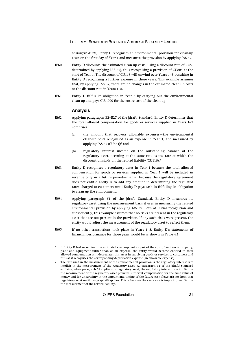*Contingent Assets*, Entity D recognises an environmental provision for clean-up costs on the first day of Year 1 and measures the provision by applying IAS 37.

- Entity D discounts the estimated clean-up costs (using a discount rate of 2.5% determined by applying IAS 37), thus recognising a provision of CU884 at the start of Year 1. The discount of CU116 will unwind over Years 1–5, resulting in Entity D recognising a further expense in these years. This example assumes that, by applying IAS 37, there are no changes in the estimated clean-up costs or the discount rate in Years 1–5. IE60
- Entity D fulfils its obligation in Year 5 by carrying out the environmental clean-up and pays CU1,000 for the entire cost of the clean-up. IE61

#### **Analysis**

- Applying paragraphs B2–B27 of the [draft] Standard, Entity D determines that the total allowed compensation for goods or services supplied in Years 1–5 comprises: IE62
	- (a) the amount that recovers allowable expenses—the environmental clean-up costs recognised as an expense in Year 1, and measured by applying IAS 37 (CU884);<sup>1</sup> and
	- (b) regulatory interest income on the outstanding balance of the regulatory asset, accruing at the same rate as the rate at which the discount unwinds on the related liability (CU116).<sup>2</sup>
- Entity D recognises a regulatory asset in Year 1 because the total allowed compensation for goods or services supplied in Year 1 will be included in revenue only in a future period—that is, because the regulatory agreement does not entitle Entity D to add any amount in determining the regulated rates charged to customers until Entity D pays cash in fulfilling its obligation to clean up the environment. IE63
- Applying paragraph 61 of the [draft] Standard, Entity D measures its regulatory asset using the measurement basis it uses in measuring the related environmental provision by applying IAS 37. Both at initial recognition and subsequently, this example assumes that no risks are present in the regulatory asset that are not present in the provision. If any such risks were present, the entity would adjust the measurement of the regulatory asset to reflect them. IE64
- If no other transactions took place in Years 1–5, Entity D's statements of financial performance for those years would be as shown in Table 4.1. IE65

<sup>1</sup> If Entity D had recognised the estimated clean-up cost as part of the cost of an item of property, plant and equipment rather than as an expense, the entity would become entitled to total allowed compensation as it depreciates this asset in supplying goods or services to customers and thus as it recognises the corresponding depreciation expense (an allowable expense).

<sup>2</sup> The rate used in the measurement of the environmental provision is the regulatory interest rate implicit in the measurement of the regulatory asset. As paragraph 64 of the [draft] Standard explains, when paragraph 61 applies to a regulatory asset, the regulatory interest rate implicit in the measurement of the regulatory asset provides sufficient compensation for the time value of money and for uncertainty in the amount and timing of the future cash flows arising from that regulatory asset until paragraph 66 applies. This is because the same rate is implicit or explicit in the measurement of the related liability.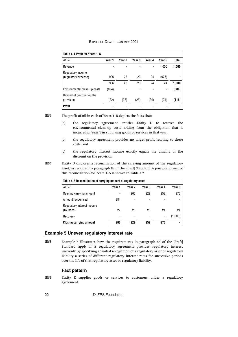<span id="page-22-0"></span>

| Table 4.1 Profit for Years 1-5 |        |        |                   |        |        |              |
|--------------------------------|--------|--------|-------------------|--------|--------|--------------|
| In CU                          | Year 1 | Year 2 | Year <sub>3</sub> | Year 4 | Year 5 | <b>Total</b> |
| Revenue                        |        |        |                   |        | 1,000  | 1,000        |
| Regulatory income              |        |        |                   |        |        |              |
| (regulatory expense)           | 906    | 23     | 23                | 24     | (976)  |              |
|                                | 906    | 23     | 23                | 24     | 24     | 1.000        |
| Environmental clean-up costs   | (884)  |        |                   |        |        | (884)        |
| Unwind of discount on the      |        |        |                   |        |        |              |
| provision                      | (22)   | (23)   | (23)              | (24)   | (24)   | (116)        |
| Profit                         |        |        |                   |        |        |              |

IE66

The profit of nil in each of Years 1–5 depicts the facts that:

- (a) the regulatory agreement entitles Entity D to recover the environmental clean-up costs arising from the obligation that it incurred in Year 1 in supplying goods or services in that year.
- (b) the regulatory agreement provides no target profit relating to these costs; and
- (c) the regulatory interest income exactly equals the unwind of the discount on the provision.

Entity D discloses a reconciliation of the carrying amount of the regulatory asset, as required by paragraph 83 of the [draft] Standard. A possible format of this reconciliation for Years 1–5 is shown in Table 4.2. IE67

| Table 4.2 Reconciliation of carrying amount of regulatory asset |        |        |        |        |         |
|-----------------------------------------------------------------|--------|--------|--------|--------|---------|
| In CU                                                           | Year 1 | Year 2 | Year 3 | Year 4 | Year 5  |
| Opening carrying amount                                         |        | 906    | 929    | 952    | 976     |
| Amount recognised                                               | 884    |        |        |        |         |
| Regulatory interest income<br>(rounded)                         | 22     | 23     | 23     | 24     | 24      |
| Recovery                                                        |        |        |        |        | (1,000) |
| <b>Closing carrying amount</b>                                  | 906    | 929    | 952    | 976    |         |

#### **Example 5 Uneven regulatory interest rate**

Example 5 illustrates how the requirements in paragraph 54 of the [draft] Standard apply if a regulatory agreement provides regulatory interest unevenly by specifying at initial recognition of a regulatory asset or regulatory liability a series of different regulatory interest rates for successive periods over the life of that regulatory asset or regulatory liability. IE68

#### **Fact pattern**

Entity E supplies goods or services to customers under a regulatory agreement. IE69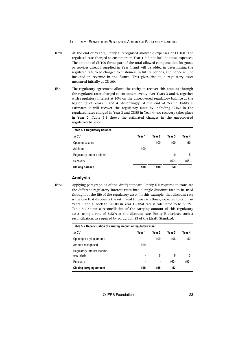- At the end of Year 1, Entity E recognised allowable expenses of CU100. The regulated rate charged to customers in Year 1 did not include these expenses. The amount of CU100 forms part of the total allowed compensation for goods or services already supplied in Year 1 and will be added in determining the regulated rate to be charged to customers in future periods, and hence will be included in revenue in the future. This gives rise to a regulatory asset measured initially at CU100. IE70
- The regulatory agreement allows the entity to recover this amount through the regulated rates charged to customers evenly over Years 3 and 4, together with regulatory interest at 10% on the unrecovered regulatory balance at the beginning of Years 3 and 4. Accordingly, at the end of Year 1 Entity E estimates it will recover the regulatory asset by including CU60 in the regulated rates charged in Year 3 and CU55 in Year 4—no recovery takes place in Year 2. Table 5.1 shows the estimated changes in the unrecovered regulatory balance. IE71

| <b>Table 5.1 Regulatory balance</b> |        |        |        |                |
|-------------------------------------|--------|--------|--------|----------------|
| In CU                               | Year 1 | Year 2 | Year 3 | Year 4         |
| Opening balance                     |        | 100    | 100    | 50             |
| Addition                            | 100    |        |        | ۰              |
| Regulatory interest added           |        |        | 10     | 5              |
| Recovery                            | -      | -      | (60)   | (55)           |
| <b>Closing balance</b>              | 100    | 100    | 50     | $\blacksquare$ |

### **Analysis**

Applying paragraph 54 of the [draft] Standard, Entity E is required to translate the different regulatory interest rates into a single discount rate to be used throughout the life of the regulatory asset. In this example, that discount rate is the one that discounts the estimated future cash flows, expected to occur in Years 3 and 4, back to CU100 in Year 1—that rate is calculated to be 5.82%. Table 5.2 shows a reconciliation of the carrying amount of this regulatory asset, using a rate of 5.82% as the discount rate. Entity E discloses such a reconciliation, as required by paragraph 83 of the [draft] Standard.

| Table 5.2 Reconciliation of carrying amount of regulatory asset |        |        |        |        |  |
|-----------------------------------------------------------------|--------|--------|--------|--------|--|
| In CU                                                           | Year 1 | Year 2 | Year 3 | Year 4 |  |
| Opening carrying amount                                         |        | 100    | 106    | 52     |  |
| Amount recognised                                               | 100    |        |        |        |  |
| Regulatory interest income<br>(rounded)                         |        | 6      | 6      | 3      |  |
| Recovery                                                        |        |        | (60)   | (55)   |  |
| <b>Closing carrying amount</b>                                  | 100    | 106    | 52     |        |  |

IE72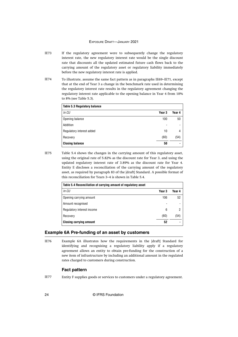- <span id="page-24-0"></span>If the regulatory agreement were to subsequently change the regulatory interest rate, the new regulatory interest rate would be the single discount rate that discounts all the updated estimated future cash flows back to the carrying amount of the regulatory asset or regulatory liability immediately before the new regulatory interest rate is applied. IE73
- To illustrate, assume the same fact pattern as in paragraphs IE69–IE71, except that at the end of Year 3 a change in the benchmark rate used in determining the regulatory interest rate results in the regulatory agreement changing the regulatory interest rate applicable to the opening balance in Year 4 from 10% to 8% (see Table 5.3). IE74

| <b>Table 5.3 Regulatory balance</b> |                   |                |
|-------------------------------------|-------------------|----------------|
| In CU                               | Year <sub>3</sub> | Year 4         |
| Opening balance                     | 100               | 50             |
| Addition                            | -                 | -              |
| Regulatory interest added           | 10                | 4              |
| Recovery                            | (60)              | (54)           |
| <b>Closing balance</b>              | 50                | $\blacksquare$ |

Table 5.4 shows the changes in the carrying amount of this regulatory asset, using the original rate of 5.82% as the discount rate for Year 3, and using the updated regulatory interest rate of 3.89% as the discount rate for Year 4. Entity E discloses a reconciliation of the carrying amount of the regulatory asset, as required by paragraph 83 of the [draft] Standard. A possible format of this reconciliation for Years 3–4 is shown in Table 5.4.

| Table 5.4 Reconciliation of carrying amount of regulatory asset |        |        |
|-----------------------------------------------------------------|--------|--------|
| In CU                                                           | Year 3 | Year 4 |
| Opening carrying amount                                         | 106    | 52     |
| Amount recognised                                               |        |        |
| Regulatory interest income                                      | 6      |        |
| Recovery                                                        | (60)   | (54)   |
| <b>Closing carrying amount</b>                                  | 52     |        |

#### **Example 6A Pre-funding of an asset by customers**

Example 6A illustrates how the requirements in the [draft] Standard for identifying and recognising a regulatory liability apply if a regulatory agreement allows an entity to obtain pre-funding for the construction of a new item of infrastructure by including an additional amount in the regulated rates charged to customers during construction. IE76

#### **Fact pattern**

IE77

IE75

Entity F supplies goods or services to customers under a regulatory agreement.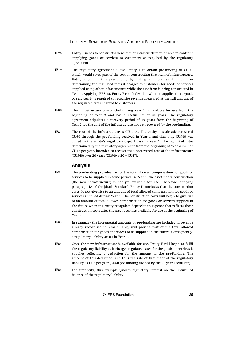- Entity F needs to construct a new item of infrastructure to be able to continue supplying goods or services to customers as required by the regulatory agreement. IE78
- The regulatory agreement allows Entity F to obtain pre-funding of CU60, which would cover part of the cost of constructing that item of infrastructure. Entity F obtains this pre-funding by adding an incremental amount in determining the regulated rates it charges to customers for goods or services supplied using other infrastructure while the new item is being constructed in Year 1. Applying IFRS 15, Entity F concludes that when it supplies these goods or services, it is required to recognise revenue measured at the full amount of the regulated rates charged to customers. IE79
- The infrastructure constructed during Year 1 is available for use from the beginning of Year 2 and has a useful life of 20 years. The regulatory agreement stipulates a recovery period of 20 years from the beginning of Year 2 for the cost of the infrastructure not yet recovered by the pre-funding. IE80
- The cost of the infrastructure is CU1,000. The entity has already recovered CU60 through the pre-funding received in Year 1 and thus only CU940 was added to the entity's regulatory capital base in Year 1. The regulated rates determined by the regulatory agreement from the beginning of Year 2 include CU47 per year, intended to recover the unrecovered cost of the infrastructure (CU940) over 20 years (CU940 ÷ 20 = CU47). IE81

#### **Analysis**

- The pre-funding provides part of the total allowed compensation for goods or services to be supplied in some period. In Year 1, the asset under construction (the new infrastructure) is not yet available for use. Therefore, applying paragraph B4 of the [draft] Standard, Entity F concludes that the construction costs do not give rise to an amount of total allowed compensation for goods or services supplied during Year 1. The construction costs will begin to give rise to an amount of total allowed compensation for goods or services supplied in the future when the entity recognises depreciation expense that reflects those construction costs after the asset becomes available for use at the beginning of Year 2. IE82
- In summary the incremental amounts of pre-funding are included in revenue already recognised in Year 1. They will provide part of the total allowed compensation for goods or services to be supplied in the future. Consequently, a regulatory liability arises in Year 1. IE83
- Once the new infrastructure is available for use, Entity F will begin to fulfil the regulatory liability as it charges regulated rates for the goods or services it supplies reflecting a deduction for the amount of the pre-funding. The amount of this deduction, and thus the rate of fulfilment of the regulatory liability, is CU3 per year (CU60 pre-funding divided by the 20-year useful life). IE84
- For simplicity, this example ignores regulatory interest on the unfulfilled balance of the regulatory liability. IE85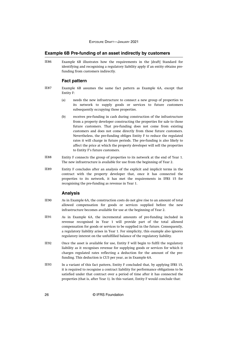#### <span id="page-26-0"></span>**Example 6B Pre-funding of an asset indirectly by customers**

Example 6B illustrates how the requirements in the [draft] Standard for identifying and recognising a regulatory liability apply if an entity obtains prefunding from customers indirectly. IE86

#### **Fact pattern**

- Example 6B assumes the same fact pattern as Example 6A, except that Entity F: IE87
	- (a) needs the new infrastructure to connect a new group of properties to its network to supply goods or services to future customers subsequently occupying those properties.
	- (b) receives pre-funding in cash during construction of the infrastructure from a property developer constructing the properties for sale to those future customers. That pre-funding does not come from existing customers and does not come directly from those future customers. Nevertheless, the pre-funding obliges Entity F to reduce the regulated rates it will charge in future periods. The pre-funding is also likely to affect the price at which the property developer will sell the properties to Entity F's future customers.
- Entity F connects the group of properties to its network at the end of Year 1. The new infrastructure is available for use from the beginning of Year 2. IE88
- Entity F concludes after an analysis of the explicit and implicit terms in the contract with the property developer that, once it has connected the properties to its network, it has met the requirements in IFRS 15 for recognising the pre-funding as revenue in Year 1. IE89

#### **Analysis**

- As in Example 6A, the construction costs do not give rise to an amount of total allowed compensation for goods or services supplied before the new infrastructure becomes available for use at the beginning of Year 2. IE90
- As in Example 6A, the incremental amounts of pre-funding included in revenue recognised in Year 1 will provide part of the total allowed compensation for goods or services to be supplied in the future. Consequently, a regulatory liability arises in Year 1. For simplicity, this example also ignores regulatory interest on the unfulfilled balance of the regulatory liability. IE91
- Once the asset is available for use, Entity F will begin to fulfil the regulatory liability as it recognises revenue for supplying goods or services for which it charges regulated rates reflecting a deduction for the amount of the prefunding. This deduction is CU3 per year, as in Example 6A. IE92
- In a variant of this fact pattern, Entity F concluded that, by applying IFRS 15, it is required to recognise a contract liability for performance obligations to be satisfied under that contract over a period of time after it has connected the properties (that is, after Year 1). In this variant, Entity F would conclude that: IE93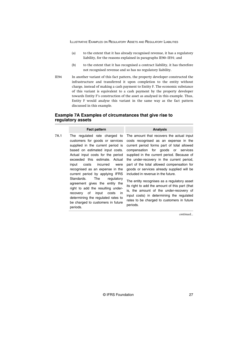- (a) to the extent that it has already recognised revenue, it has a regulatory liability, for the reasons explained in paragraphs IE90–IE91; and
- (b) to the extent that it has recognised a contract liability, it has therefore not recognised revenue and so has no regulatory liability.
- In another variant of this fact pattern, the property developer constructed the infrastructure and transferred it upon completion to the entity without charge, instead of making a cash payment to Entity F. The economic substance of this variant is equivalent to a cash payment by the property developer towards Entity F's construction of the asset as analysed in this example. Thus, Entity F would analyse this variant in the same way as the fact pattern discussed in this example. IE94

### **Example 7A Examples of circumstances that give rise to regulatory assets**

| <b>Analysis</b>                                                                                                                                                                                                                                                                                                                                                                                                                                                                                                                                                                                                                            |
|--------------------------------------------------------------------------------------------------------------------------------------------------------------------------------------------------------------------------------------------------------------------------------------------------------------------------------------------------------------------------------------------------------------------------------------------------------------------------------------------------------------------------------------------------------------------------------------------------------------------------------------------|
| The amount that recovers the actual input<br>costs recognised as an expense in the<br>current period forms part of total allowed<br>compensation for goods or services<br>supplied in the current period. Because of<br>the under-recovery in the current period,<br>part of the total allowed compensation for<br>goods or services already supplied will be<br>included in revenue in the future.<br>The entity recognises as a regulatory asset<br>its right to add the amount of this part (that<br>is, the amount of the under-recovery of<br>input costs) in determining the regulated<br>rates to be charged to customers in future |
|                                                                                                                                                                                                                                                                                                                                                                                                                                                                                                                                                                                                                                            |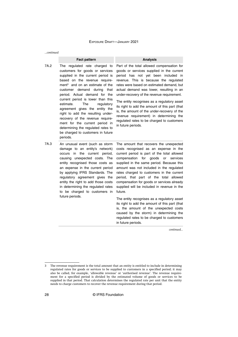*...continued*

#### **Fact pattern Analysis**

7A.2 The regulated rate charged to customers for goods or services supplied in the current period is based on the revenue requirement<sup>3</sup> and on an estimate of the customer demand during that period. Actual demand for the current period is lower than this estimate. The regulatory agreement gives the entity the right to add the resulting underrecovery of the revenue requirement for the current period in determining the regulated rates to be charged to customers in future periods.

Part of the total allowed compensation for goods or services supplied in the current period has not yet been included in revenue. This is because the regulated rates were based on estimated demand, but actual demand was lower, resulting in an under-recovery of the revenue requirement.

The entity recognises as a regulatory asset its right to add the amount of this part (that is, the amount of the under-recovery of the revenue requirement) in determining the regulated rates to be charged to customers in future periods.

7A.3 An unusual event (such as storm damage to an entity's network) occurs in the current period, causing unexpected costs. The entity recognised those costs as an expense in the current period by applying IFRS Standards. The regulatory agreement gives the entity the right to add those costs in determining the regulated rates to be charged to customers in future periods.

The amount that recovers the unexpected costs recognised as an expense in the current period is part of the total allowed compensation for goods or services supplied in the same period. Because this amount was not included in the regulated rates charged to customers in the current period, that part of the total allowed compensation for goods or services already supplied will be included in revenue in the future.

The entity recognises as a regulatory asset its right to add the amount of this part (that is, the amount of the unexpected costs caused by the storm) in determining the regulated rates to be charged to customers in future periods.

<sup>3</sup> The revenue requirement is the total amount that an entity is entitled to include in determining regulated rates for goods or services to be supplied to customers in a specified period; it may also be called, for example, 'allowable revenue' or 'authorised revenue'. The revenue requirement for a specified period is divided by the estimated volume of goods or services to be supplied in that period. That calculation determines the regulated rate per unit that the entity needs to charge customers to recover the revenue requirement during that period.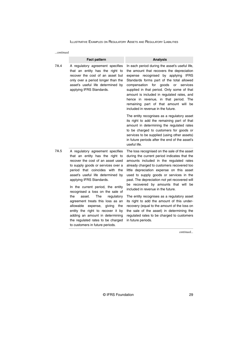| …continued |                                                                                                                                                                                                                                                                                                                                                                                                                                                                                                                                                                                                |                                                                                                                                                                                                                                                                                                                                                                                                                                                                                                                                                                                                                                                                            |
|------------|------------------------------------------------------------------------------------------------------------------------------------------------------------------------------------------------------------------------------------------------------------------------------------------------------------------------------------------------------------------------------------------------------------------------------------------------------------------------------------------------------------------------------------------------------------------------------------------------|----------------------------------------------------------------------------------------------------------------------------------------------------------------------------------------------------------------------------------------------------------------------------------------------------------------------------------------------------------------------------------------------------------------------------------------------------------------------------------------------------------------------------------------------------------------------------------------------------------------------------------------------------------------------------|
|            | <b>Fact pattern</b>                                                                                                                                                                                                                                                                                                                                                                                                                                                                                                                                                                            | <b>Analysis</b>                                                                                                                                                                                                                                                                                                                                                                                                                                                                                                                                                                                                                                                            |
| 7A.4       | A regulatory agreement specifies<br>that an entity has the right to<br>recover the cost of an asset but<br>only over a period longer than the<br>asset's useful life determined by<br>applying IFRS Standards.                                                                                                                                                                                                                                                                                                                                                                                 | In each period during the asset's useful life,<br>the amount that recovers the depreciation<br>expense recognised by applying<br>IFRS<br>Standards forms part of the total allowed<br>for<br>goods<br>compensation<br>or<br>services<br>supplied in that period. Only some of that<br>amount is included in regulated rates, and<br>hence in revenue, in that period. The<br>remaining part of that amount will be<br>included in revenue in the future.                                                                                                                                                                                                                   |
|            |                                                                                                                                                                                                                                                                                                                                                                                                                                                                                                                                                                                                | The entity recognises as a regulatory asset<br>its right to add the remaining part of that<br>amount in determining the regulated rates<br>to be charged to customers for goods or<br>services to be supplied (using other assets)<br>in future periods after the end of the asset's<br>useful life.                                                                                                                                                                                                                                                                                                                                                                       |
| 7A.5       | A regulatory agreement specifies<br>that an entity has the right to<br>recover the cost of an asset used<br>to supply goods or services over a<br>period that coincides with the<br>asset's useful life determined by<br>applying IFRS Standards.<br>In the current period, the entity<br>recognised a loss on the sale of<br>The<br>the<br>asset.<br>regulatory<br>agreement treats this loss as an<br>allowable<br>expense,<br>giving<br>the<br>entity the right to recover it by<br>adding an amount in determining<br>the regulated rates to be charged<br>to customers in future periods. | The loss recognised on the sale of the asset<br>during the current period indicates that the<br>amounts included in the regulated rates<br>already charged to customers recovered too<br>little depreciation expense on this asset<br>used to supply goods or services in the<br>past. The depreciation not yet recovered will<br>be recovered by amounts that will be<br>included in revenue in the future.<br>The entity recognises as a regulatory asset<br>its right to add the amount of this under-<br>recovery (equal to the amount of the loss on<br>the sale of the asset) in determining the<br>regulated rates to be charged to customers<br>in future periods. |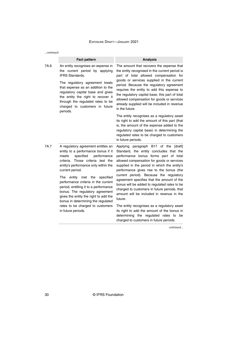| …continued |                                                                                                                                                                                                                                         |                                                                                                                                                                                                                                                                                                                                                                                                                                                 |  |
|------------|-----------------------------------------------------------------------------------------------------------------------------------------------------------------------------------------------------------------------------------------|-------------------------------------------------------------------------------------------------------------------------------------------------------------------------------------------------------------------------------------------------------------------------------------------------------------------------------------------------------------------------------------------------------------------------------------------------|--|
|            | <b>Fact pattern</b>                                                                                                                                                                                                                     | <b>Analysis</b>                                                                                                                                                                                                                                                                                                                                                                                                                                 |  |
| 7A.6       | An entity recognises an expense in<br>the current period by applying<br><b>IFRS Standards.</b>                                                                                                                                          | The amount that recovers the expense that<br>the entity recognised in the current period is<br>part of total allowed compensation for<br>goods or services supplied in the current<br>period. Because the regulatory agreement<br>requires the entity to add this expense to<br>the regulatory capital base, this part of total<br>allowed compensation for goods or services<br>already supplied will be included in revenue<br>in the future. |  |
|            | The regulatory agreement treats<br>that expense as an addition to the<br>regulatory capital base and gives<br>the entity the right to recover it<br>through the regulated rates to be<br>charged to customers in future<br>periods.     |                                                                                                                                                                                                                                                                                                                                                                                                                                                 |  |
|            |                                                                                                                                                                                                                                         | The entity recognises as a regulatory asset<br>its right to add the amount of this part (that<br>is, the amount of the expense added to the<br>regulatory capital base) in determining the<br>regulated rates to be charged to customers<br>in future periods.                                                                                                                                                                                  |  |
| 7A.7       | A regulatory agreement entitles an<br>entity to a performance bonus if it<br>performance<br>meets<br>specified<br>criteria. Those criteria test the<br>entity's performance only within the<br>current period.                          | Applying paragraph B17 of the [draft]<br>Standard, the entity concludes that the<br>performance bonus forms part of total<br>allowed compensation for goods or services<br>supplied in the period in which the entity's<br>performance gives rise to the bonus (the<br>current period). Because the regulatory                                                                                                                                  |  |
|            | the<br>specified<br>The<br>entity met<br>performance criteria in the current<br>period, entitling it to a performance<br>bonus. The regulatory agreement<br>gives the entity the right to add the<br>bonus in determining the regulated | agreement specifies that the amount of the<br>bonus will be added to regulated rates to be<br>charged to customers in future periods, that<br>amount will be included in revenue in the<br>future.                                                                                                                                                                                                                                              |  |
|            | rates to be charged to customers<br>in future periods.                                                                                                                                                                                  | The entity recognises as a regulatory asset<br>its right to add the amount of the bonus in<br>determining the regulated rates to<br>be<br>charged to customers in future periods.                                                                                                                                                                                                                                                               |  |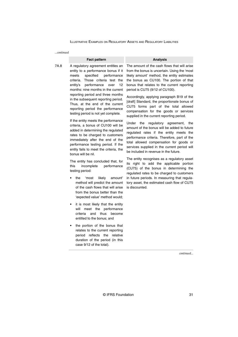| continued |  |
|-----------|--|
|           |  |
|           |  |

#### **Fact pattern Analysis**

7A.8 A regulatory agreement entitles an entity to a performance bonus if it meets specified performance criteria. Those criteria test the entity's performance over 12 months: nine months in the current reporting period and three months in the subsequent reporting period. Thus, at the end of the current reporting period the performance testing period is not yet complete.

> If the entity meets the performance criteria, a bonus of CU100 will be added in determining the regulated rates to be charged to customers immediately after the end of the performance testing period. If the entity fails to meet the criteria, the bonus will be nil.

> The entity has concluded that, for this incomplete performance testing period:

- the 'most likely amount' method will predict the amount of the cash flows that will arise from the bonus better than the 'expected value' method would;
- it is most likely that the entity will meet the performance criteria and thus become entitled to the bonus; and
- the portion of the bonus that relates to the current reporting period reflects the relative duration of the period (in this case 9/12 of the total).

The amount of the cash flows that will arise from the bonus is uncertain. Using the 'most likely amount' method, the entity estimates the bonus as CU100. The portion of that bonus that relates to the current reporting period is CU75 (9/12 of CU100).

Accordingly, applying paragraph B19 of the [draft] Standard, the proportionate bonus of CU75 forms part of the total allowed compensation for the goods or services supplied in the current reporting period.

Under the regulatory agreement, the amount of the bonus will be added to future regulated rates if the entity meets the performance criteria. Therefore, part of the total allowed compensation for goods or services supplied in the current period will be included in revenue in the future.

The entity recognises as a regulatory asset its right to add the applicable portion (CU75) of the bonus in determining the regulated rates to be charged to customers in future periods. In measuring that regulatory asset, the estimated cash flow of CU75 is discounted.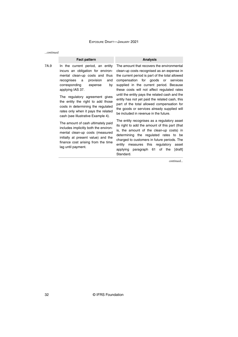| $$ continued |                                                                                                                                                                                                                                                                                                                                                                                                |                                                                                                                                                                                                                                                                                                                                                                                                                                                                                                                          |
|--------------|------------------------------------------------------------------------------------------------------------------------------------------------------------------------------------------------------------------------------------------------------------------------------------------------------------------------------------------------------------------------------------------------|--------------------------------------------------------------------------------------------------------------------------------------------------------------------------------------------------------------------------------------------------------------------------------------------------------------------------------------------------------------------------------------------------------------------------------------------------------------------------------------------------------------------------|
|              | <b>Fact pattern</b>                                                                                                                                                                                                                                                                                                                                                                            | <b>Analysis</b>                                                                                                                                                                                                                                                                                                                                                                                                                                                                                                          |
| 7A.9         | In the current period, an entity<br>incurs an obligation for environ-<br>mental clean-up costs and thus<br>provision<br>recognises<br>and<br>a<br>corresponding<br>by<br>expense<br>applying IAS 37.<br>The regulatory agreement gives<br>the entity the right to add those<br>costs in determining the regulated<br>rates only when it pays the related<br>cash (see Illustrative Example 4). | The amount that recovers the environmental<br>clean-up costs recognised as an expense in<br>the current period is part of the total allowed<br>compensation for goods or<br>services<br>supplied in the current period. Because<br>these costs will not affect regulated rates<br>until the entity pays the related cash and the<br>entity has not yet paid the related cash, this<br>part of the total allowed compensation for<br>the goods or services already supplied will<br>be included in revenue in the future. |
|              | The amount of cash ultimately paid<br>includes implicitly both the environ-<br>mental clean-up costs (measured<br>initially at present value) and the<br>finance cost arising from the time<br>lag until payment.                                                                                                                                                                              | The entity recognises as a regulatory asset<br>its right to add the amount of this part (that<br>is, the amount of the clean-up costs) in<br>determining the regulated rates to be<br>charged to customers in future periods. The<br>measures this regulatory<br>entity<br>asset<br>applying paragraph 61 of the<br>[draft]<br>Standard.                                                                                                                                                                                 |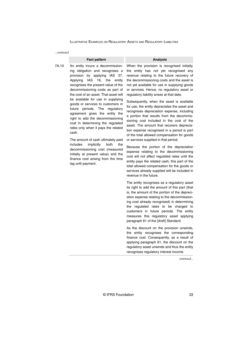*...continued*

#### **Fact pattern Analysis**

7A.10 An entity incurs a decommissioning obligation and recognises a provision by applying IAS 37. Applying IAS 16, the entity recognises the present value of the decommissioning costs as part of the cost of an asset. That asset will be available for use in supplying goods or services to customers in future periods. The regulatory agreement gives the entity the right to add the decommissioning cost in determining the regulated rates only when it pays the related cash.

> The amount of cash ultimately paid includes implicitly both the decommissioning cost (measured initially at present value) and the finance cost arising from the time lag until payment.

When the provision is recognised initially, the entity has not yet recognised any revenue relating to the future recovery of the decommissioning costs and the asset is not yet available for use in supplying goods or services. Hence, no regulatory asset or regulatory liability arises at that date.

Subsequently, when the asset is available for use, the entity depreciates the asset and recognises depreciation expense, including a portion that results from the decommissioning cost included in the cost of the asset. The amount that recovers depreciation expense recognised in a period is part of the total allowed compensation for goods or services supplied in that period.

Because the portion of the depreciation expense relating to the decommissioning cost will not affect regulated rates until the entity pays the related cash, this part of the total allowed compensation for the goods or services already supplied will be included in revenue in the future.

The entity recognises as a regulatory asset its right to add the amount of this part (that is, the amount of the portion of the depreciation expense relating to the decommissioning cost already recognised) in determining the regulated rates to be charged to customers in future periods. The entity measures this regulatory asset applying paragraph 61 of the [draft] Standard.

As the discount on the provision unwinds, the entity recognises the corresponding finance cost. Consequently, as a result of applying paragraph 61, the discount on the regulatory asset unwinds and thus the entity recognises regulatory interest income.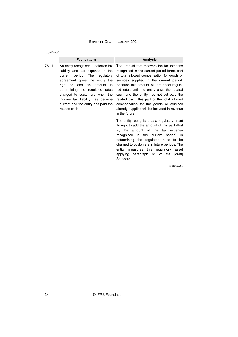*...continued*

#### **Fact pattern Analysis**

7A.11 An entity recognises a deferred tax liability and tax expense in the current period. The regulatory right to add an amount in determining the regulated rates charged to customers when the income tax liability has become current and the entity has paid the related cash.

agreement gives the entity the services supplied in the current period. The amount that recovers the tax expense recognised in the current period forms part of total allowed compensation for goods or Because this amount will not affect regulated rates until the entity pays the related cash and the entity has not yet paid the related cash, this part of the total allowed compensation for the goods or services already supplied will be included in revenue in the future.

> The entity recognises as a regulatory asset its right to add the amount of this part (that is, the amount of the tax expense recognised in the current period) in determining the regulated rates to be charged to customers in future periods. The entity measures this regulatory asset applying paragraph 61 of the [draft] Standard.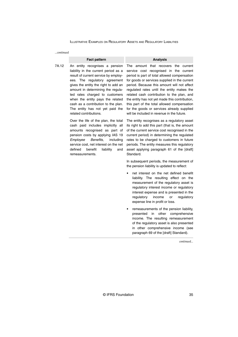*...continued*

|       | <b>Fact pattern</b>                                                                                                                                                                                                                                                                                                                                                                                    | <b>Analysis</b>                                                                                                                                                                                                                                                                                                                                                                                                                                                                                                               |
|-------|--------------------------------------------------------------------------------------------------------------------------------------------------------------------------------------------------------------------------------------------------------------------------------------------------------------------------------------------------------------------------------------------------------|-------------------------------------------------------------------------------------------------------------------------------------------------------------------------------------------------------------------------------------------------------------------------------------------------------------------------------------------------------------------------------------------------------------------------------------------------------------------------------------------------------------------------------|
| 7A.12 | An entity recognises a pension<br>liability in the current period as a<br>result of current service by employ-<br>ees. The regulatory agreement<br>gives the entity the right to add an<br>amount in determining the regula-<br>ted rates charged to customers<br>when the entity pays the related<br>cash as a contribution to the plan.<br>The entity has not yet paid the<br>related contributions. | The amount that recovers<br>the<br>current<br>service cost recognised in the current<br>period is part of total allowed compensation<br>for goods or services supplied in the current<br>period. Because this amount will not affect<br>regulated rates until the entity makes the<br>related cash contribution to the plan, and<br>the entity has not yet made this contribution,<br>this part of the total allowed compensation<br>for the goods or services already supplied<br>will be included in revenue in the future. |
|       | Over the life of the plan, the total<br>cash paid includes implicitly all<br>amounts recognised as part of<br>pension costs by applying IAS 19<br>Benefits,<br>Employee<br>including<br>service cost, net interest on the net<br>defined<br>benefit<br>liability<br>and<br>remeasurements.                                                                                                             | The entity recognises as a regulatory asset<br>its right to add this part (that is, the amount<br>of the current service cost recognised in the<br>current period) in determining the regulated<br>rates to be charged to customers in future<br>periods. The entity measures this regulatory<br>asset applying paragraph 61 of the [draft]<br>Standard.                                                                                                                                                                      |
|       |                                                                                                                                                                                                                                                                                                                                                                                                        | In subsequent periods, the measurement of<br>the pension liability is updated to reflect:                                                                                                                                                                                                                                                                                                                                                                                                                                     |
|       |                                                                                                                                                                                                                                                                                                                                                                                                        | net interest on the net defined benefit<br>lighility. The requising effect on the                                                                                                                                                                                                                                                                                                                                                                                                                                             |

- liability. The resulting effect on the measurement of the regulatory asset is regulatory interest income or regulatory interest expense and is presented in the regulatory income or regulatory expense line in profit or loss.
- remeasurements of the pension liability, presented in other comprehensive income. The resulting remeasurement of the regulatory asset is also presented in other comprehensive income (see paragraph 69 of the [draft] Standard).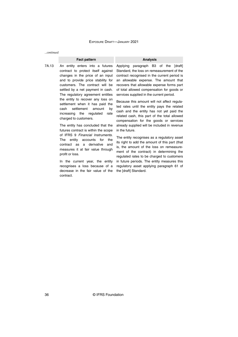*...continued*

#### **Fact pattern Analysis**

7A.13 An entity enters into a futures contract to protect itself against changes in the price of an input and to provide price stability for customers. The contract will be settled by a net payment in cash. The regulatory agreement entitles the entity to recover any loss on settlement when it has paid the cash settlement amount by increasing the regulated rate charged to customers.

> The entity has concluded that the futures contract is within the scope of IFRS 9 Financial Instruments. The entity accounts for the contract as a derivative and measures it at fair value through profit or loss.

> In the current year, the entity recognises a loss because of a decrease in the fair value of the contract.

Applying paragraph B3 of the [draft] Standard, the loss on remeasurement of the contract recognised in the current period is an allowable expense. The amount that recovers that allowable expense forms part of total allowed compensation for goods or services supplied in the current period.

Because this amount will not affect regulated rates until the entity pays the related cash and the entity has not yet paid the related cash, this part of the total allowed compensation for the goods or services already supplied will be included in revenue in the future.

The entity recognises as a regulatory asset its right to add the amount of this part (that is, the amount of the loss on remeasurement of the contract) in determining the regulated rates to be charged to customers in future periods. The entity measures this regulatory asset applying paragraph 61 of the [draft] Standard.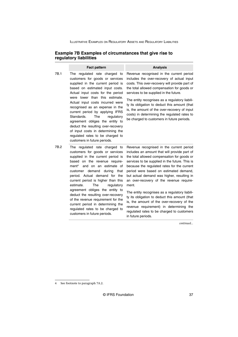### **Example 7B Examples of circumstances that give rise to regulatory liabilities**

|      | <b>Fact pattern</b>                                                                                                                                                                                                                                                                                                                                                                                                                                                                                                                                        | <b>Analysis</b>                                                                                                                                                                                                                                                                                                                                                                                                                                                                                                                                                                                                                                       |
|------|------------------------------------------------------------------------------------------------------------------------------------------------------------------------------------------------------------------------------------------------------------------------------------------------------------------------------------------------------------------------------------------------------------------------------------------------------------------------------------------------------------------------------------------------------------|-------------------------------------------------------------------------------------------------------------------------------------------------------------------------------------------------------------------------------------------------------------------------------------------------------------------------------------------------------------------------------------------------------------------------------------------------------------------------------------------------------------------------------------------------------------------------------------------------------------------------------------------------------|
| 7B.1 | The regulated rate charged to<br>customers for goods or services<br>supplied in the current period is<br>based on estimated input costs.<br>Actual input costs for the period<br>were lower than this estimate.<br>Actual input costs incurred were<br>recognised as an expense in the<br>current period by applying IFRS<br>The<br>Standards.<br>regulatory<br>agreement obliges the entity to<br>deduct the resulting over-recovery<br>of input costs in determining the<br>regulated rates to be charged to<br>customers in future periods.             | Revenue recognised in the current period<br>includes the over-recovery of actual input<br>costs. This over-recovery will provide part of<br>the total allowed compensation for goods or<br>services to be supplied in the future.<br>The entity recognises as a regulatory liabili-<br>ty its obligation to deduct this amount (that<br>is, the amount of the over-recovery of input<br>costs) in determining the regulated rates to<br>be charged to customers in future periods.                                                                                                                                                                    |
| 7B.2 | The regulated rate charged to<br>customers for goods or services<br>supplied in the current period is<br>based on the revenue require-<br>and on an estimate of<br>ment <sup>4</sup><br>customer demand<br>during<br>that<br>period. Actual demand for the<br>current period is higher than this<br>estimate.<br>The<br>regulatory<br>agreement obliges the entity to<br>deduct the resulting over-recovery<br>of the revenue requirement for the<br>current period in determining the<br>regulated rates to be charged to<br>customers in future periods. | Revenue recognised in the current period<br>includes an amount that will provide part of<br>the total allowed compensation for goods or<br>services to be supplied in the future. This is<br>because the regulated rates for the current<br>period were based on estimated demand,<br>but actual demand was higher, resulting in<br>an over-recovery of the revenue require-<br>ment.<br>The entity recognises as a regulatory liabili-<br>ty its obligation to deduct this amount (that<br>is, the amount of the over-recovery of the<br>revenue requirement) in determining the<br>regulated rates to be charged to customers<br>in future periods. |

*continued...*

4 See footnote to paragraph 7A.2.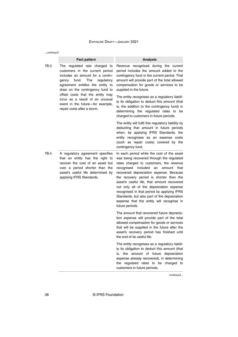| continued |                                                                                                                                                                                                                                                                                                                                                              |                                                                                                                                                                                                                                                                                                                                                                                                                                                                                                                                    |  |
|-----------|--------------------------------------------------------------------------------------------------------------------------------------------------------------------------------------------------------------------------------------------------------------------------------------------------------------------------------------------------------------|------------------------------------------------------------------------------------------------------------------------------------------------------------------------------------------------------------------------------------------------------------------------------------------------------------------------------------------------------------------------------------------------------------------------------------------------------------------------------------------------------------------------------------|--|
|           | <b>Fact pattern</b>                                                                                                                                                                                                                                                                                                                                          | <b>Analysis</b>                                                                                                                                                                                                                                                                                                                                                                                                                                                                                                                    |  |
| 7B.3      | The regulated rate charged to<br>customers in the current period<br>includes an amount for a contin-<br>fund.<br>The<br>regulatory<br>gency<br>agreement entitles the entity to<br>draw on the contingency fund to<br>offset costs that the entity may<br>incur as a result of an unusual<br>event in the future-for example,<br>repair costs after a storm. | Revenue recognised during the current<br>period includes the amount added to the<br>contingency fund in the current period. That<br>amount will provide part of the total allowed<br>compensation for goods or services to be<br>supplied in the future.<br>The entity recognises as a regulatory liabili-<br>ty its obligation to deduct this amount (that<br>is, the addition to the contingency fund) in<br>determining the regulated rates to be<br>charged to customers in future periods.                                    |  |
|           |                                                                                                                                                                                                                                                                                                                                                              | The entity will fulfil this regulatory liability by<br>deducting that amount in future periods<br>when, by applying IFRS Standards, the<br>entity recognises as an expense costs<br>(such as repair costs) covered by the<br>contingency fund.                                                                                                                                                                                                                                                                                     |  |
| 7B.4      | A regulatory agreement specifies<br>that an entity has the right to<br>recover the cost of an asset but<br>over a period shorter than the<br>asset's useful life determined by<br>applying IFRS Standards.                                                                                                                                                   | In each period while the cost of the asset<br>was being recovered through the regulated<br>rates charged to customers, the revenue<br>recognised<br>included<br>an<br>amount<br>that<br>recovered depreciation expense. Because<br>the recovery period is shorter than the<br>asset's useful life, that amount recovered<br>not only all of the depreciation expense<br>recognised in that period by applying IFRS<br>Standards, but also part of the depreciation<br>expense that the entity will recognise in<br>future periods. |  |
|           |                                                                                                                                                                                                                                                                                                                                                              | The amount that recovered future deprecia-<br>tion expense will provide part of the total<br>allowed compensation for goods or services<br>that will be supplied in the future after the<br>asset's recovery period has finished until<br>the end of its useful life.                                                                                                                                                                                                                                                              |  |
|           |                                                                                                                                                                                                                                                                                                                                                              | The entity recognises as a regulatory liabili-<br>ty its obligation to deduct this amount (that<br>amount of future depreciation<br>the<br>is.<br>expense already recovered), in determining<br>the regulated rates to be charged to<br>customers in future periods.                                                                                                                                                                                                                                                               |  |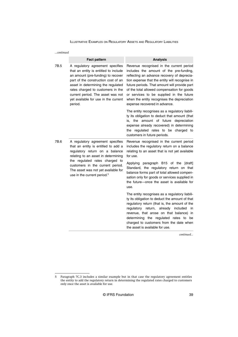| …continued |                                                                                                                                                                                                                                                                                                                           |                                                                                                                                                                                                                                                                                                                                                                                                                  |  |
|------------|---------------------------------------------------------------------------------------------------------------------------------------------------------------------------------------------------------------------------------------------------------------------------------------------------------------------------|------------------------------------------------------------------------------------------------------------------------------------------------------------------------------------------------------------------------------------------------------------------------------------------------------------------------------------------------------------------------------------------------------------------|--|
|            | <b>Fact pattern</b>                                                                                                                                                                                                                                                                                                       | <b>Analysis</b>                                                                                                                                                                                                                                                                                                                                                                                                  |  |
| 7B.5       | A regulatory agreement specifies<br>that an entity is entitled to include<br>an amount (pre-funding) to recover<br>part of the construction cost of an<br>asset in determining the regulated<br>rates charged to customers in the<br>current period. The asset was not<br>yet available for use in the current<br>period. | Revenue recognised in the current period<br>includes the amount of the pre-funding,<br>reflecting an advance recovery of deprecia-<br>tion expense that the entity will recognise in<br>future periods. That amount will provide part<br>of the total allowed compensation for goods<br>or services to be supplied in the future<br>when the entity recognises the depreciation<br>expense recovered in advance. |  |
|            |                                                                                                                                                                                                                                                                                                                           | The entity recognises as a regulatory liabili-<br>ty its obligation to deduct that amount (that<br>is, the amount of future depreciation<br>expense already recovered) in determining<br>the regulated rates to be charged to<br>customers in future periods.                                                                                                                                                    |  |
| 7B.6       | A regulatory agreement specifies<br>that an entity is entitled to add a<br>regulatory return on a balance<br>relating to an asset in determining<br>the regulated rates charged to<br>customers in the current period.<br>The asset was not yet available for<br>use in the current period. <sup>5</sup>                  | Revenue recognised in the current period<br>includes the regulatory return on a balance<br>relating to an asset that is not yet available<br>for use.                                                                                                                                                                                                                                                            |  |
|            |                                                                                                                                                                                                                                                                                                                           | Applying paragraph B15 of the [draft]<br>Standard, the regulatory return on that<br>balance forms part of total allowed compen-<br>sation only for goods or services supplied in<br>the future—once the asset is available for<br>use.                                                                                                                                                                           |  |
|            |                                                                                                                                                                                                                                                                                                                           | The entity recognises as a regulatory liabili-<br>ty its obligation to deduct the amount of that<br>regulatory return (that is, the amount of the<br>regulatory return, already included<br>in<br>revenue, that arose on that balance)<br>- in<br>determining the regulated rates to<br>be<br>charged to customers from the date when<br>the asset is available for use.                                         |  |

<sup>5</sup> Paragraph 7C.3 includes a similar example but in that case the regulatory agreement entitles the entity to add the regulatory return in determining the regulated rates charged to customers only once the asset is available for use.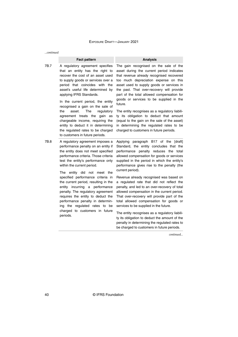*...continued*

#### **Fact pattern Analysis**

7B.7 A regulatory agreement specifies that an entity has the right to recover the cost of an asset used to supply goods or services over a period that coincides with the asset's useful life determined by applying IFRS Standards.

> In the current period, the entity recognised a gain on the sale of the asset. The regulatory agreement treats the gain as chargeable income, requiring the entity to deduct it in determining the regulated rates to be charged to customers in future periods.

7B.8 A regulatory agreement imposes a performance penalty on an entity if the entity does not meet specified performance criteria. Those criteria test the entity's performance only within the current period.

> The entity did not meet the specified performance criteria in the current period, resulting in the entity incurring a performance penalty. The regulatory agreement requires the entity to deduct the performance penalty in determining the regulated rates to be charged to customers in future periods.

The gain recognised on the sale of the asset during the current period indicates that revenue already recognised recovered too much depreciation expense on this asset used to supply goods or services in the past. That over-recovery will provide part of the total allowed compensation for goods or services to be supplied in the future.

The entity recognises as a regulatory liability its obligation to deduct that amount (equal to the gain on the sale of the asset) in determining the regulated rates to be charged to customers in future periods.

Applying paragraph B17 of the [draft] Standard, the entity concludes that the performance penalty reduces the total allowed compensation for goods or services supplied in the period in which the entity's performance gives rise to the penalty (the current period).

Revenue already recognised was based on a regulated rate that did not reflect the penalty, and led to an over-recovery of total allowed compensation in the current period. That over-recovery will provide part of the total allowed compensation for goods or services to be supplied in the future.

The entity recognises as a regulatory liability its obligation to deduct the amount of the penalty in determining the regulated rates to be charged to customers in future periods.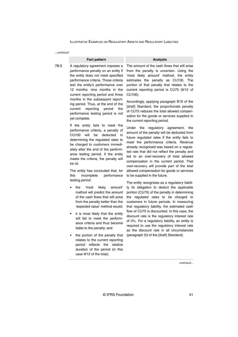*...continued*

#### **Fact pattern Analysis**

7B.9 A regulatory agreement imposes a performance penalty on an entity if the entity does not meet specified performance criteria. Those criteria test the entity's performance over 12 months: nine months in the current reporting period and three months in the subsequent reporting period. Thus, at the end of the current reporting period the performance testing period is not yet complete.

> If the entity fails to meet the performance criteria, a penalty of CU100 will be deducted in determining the regulated rates to be charged to customers immediately after the end of the performance testing period. If the entity meets the criteria, the penalty will be nil.

The entity has concluded that, for this incomplete performance testing period:

- the 'most likely amount' method will predict the amount of the cash flows that will arise from the penalty better than the 'expected value' method would;
- it is most likely that the entity will fail to meet the performance criteria and thus become liable to the penalty; and
- the portion of the penalty that relates to the current reporting period reflects the relative duration of the period (in this case 9/12 of the total).

The amount of the cash flows that will arise from the penalty is uncertain. Using the 'most likely amount' method, the entity estimates the penalty as CU100. The portion of that penalty that relates to the current reporting period is CU75 (9/12 of CU100).

Accordingly, applying paragraph B19 of the [draft] Standard, the proportionate penalty of CU75 reduces the total allowed compensation for the goods or services supplied in the current reporting period.

Under the regulatory agreement, the amount of the penalty will be deducted from future regulated rates if the entity fails to meet the performance criteria. Revenue already recognised was based on a regulated rate that did not reflect the penalty and led to an over-recovery of total allowed compensation in the current period. That over-recovery will provide part of the total allowed compensation for goods or services to be supplied in the future.

The entity recognises as a regulatory liability its obligation to deduct the applicable portion (CU75) of the penalty in determining the regulated rates to be charged to customers in future periods. In measuring that regulatory liability, the estimated cash flow of CU75 is discounted. In this case, the discount rate is the regulatory interest rate of 0%. For a regulatory liability, an entity is required to use the regulatory interest rate as the discount rate in all circumstances (paragraph 53 of the [draft] Standard).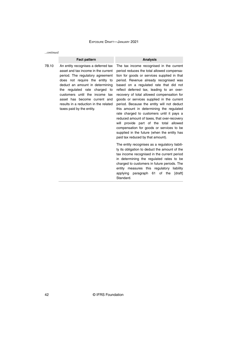*...continued*

#### **Fact pattern Analysis**

7B.10 An entity recognises a deferred tax asset and tax income in the current period. The regulatory agreement does not require the entity to deduct an amount in determining the regulated rate charged to customers until the income tax asset has become current and results in a reduction in the related taxes paid by the entity.

The tax income recognised in the current period reduces the total allowed compensation for goods or services supplied in that period. Revenue already recognised was based on a regulated rate that did not reflect deferred tax, leading to an overrecovery of total allowed compensation for goods or services supplied in the current period. Because the entity will not deduct this amount in determining the regulated rate charged to customers until it pays a reduced amount of taxes, that over-recovery will provide part of the total allowed compensation for goods or services to be supplied in the future (when the entity has paid tax reduced by that amount).

The entity recognises as a regulatory liability its obligation to deduct the amount of the tax income recognised in the current period in determining the regulated rates to be charged to customers in future periods. The entity measures this regulatory liability applying paragraph 61 of the [draft] Standard.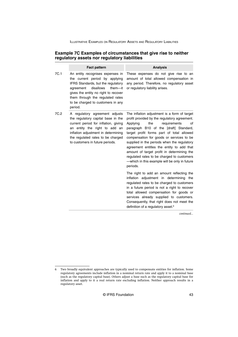### **Example 7C Examples of circumstances that give rise to neither regulatory assets nor regulatory liabilities**

|      | <b>Fact pattern</b>                                                                                                                                                                                                                                                        | <b>Analysis</b>                                                                                                                                                                                                                                                                                                                                                                                                                                                                                                               |
|------|----------------------------------------------------------------------------------------------------------------------------------------------------------------------------------------------------------------------------------------------------------------------------|-------------------------------------------------------------------------------------------------------------------------------------------------------------------------------------------------------------------------------------------------------------------------------------------------------------------------------------------------------------------------------------------------------------------------------------------------------------------------------------------------------------------------------|
| 7C.1 | An entity recognises expenses in<br>the current period by applying<br>IFRS Standards, but the regulatory<br>disallows<br>them--it<br>agreement<br>gives the entity no right to recover<br>them through the regulated rates<br>to be charged to customers in any<br>period. | These expenses do not give rise to an<br>amount of total allowed compensation in<br>any period. Therefore, no regulatory asset<br>or regulatory liability arises.                                                                                                                                                                                                                                                                                                                                                             |
| 7C.2 | A regulatory agreement adjusts<br>the regulatory capital base in the<br>current period for inflation, giving<br>an entity the right to add an<br>inflation adjustment in determining<br>the regulated rates to be charged<br>to customers in future periods.               | The inflation adjustment is a form of target<br>profit provided by the regulatory agreement.<br>Applying<br>the<br>requirements<br>of<br>paragraph B10 of the [draft] Standard,<br>target profit forms part of total allowed<br>compensation for goods or services to be<br>supplied in the periods when the regulatory<br>agreement entitles the entity to add that<br>amount of target profit in determining the<br>regulated rates to be charged to customers<br>-which in this example will be only in future<br>periods. |
|      |                                                                                                                                                                                                                                                                            | The right to add an amount reflecting the<br>inflation adjustment in determining the<br>regulated rates to be charged to customers<br>in a future period is not a right to recover<br>total allowed compensation for goods or<br>services already supplied to customers.<br>Consequently, that right does not meet the<br>definition of a regulatory asset. <sup>6</sup>                                                                                                                                                      |

*continued...*

<sup>6</sup> Two broadly equivalent approaches are typically used to compensate entities for inflation. Some regulatory agreements include inflation in a nominal return rate and apply it to a nominal base (such as the regulatory capital base). Others adjust a base such as the regulatory capital base for inflation and apply to it a real return rate excluding inflation. Neither approach results in a regulatory asset.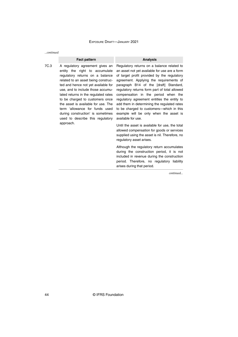*...continued*

#### **Fact pattern Analysis**

7C.3 A regulatory agreement gives an entity the right to accumulate regulatory returns on a balance related to an asset being constructed and hence not yet available for use, and to include those accumulated returns in the regulated rates to be charged to customers once the asset is available for use. The term 'allowance for funds used during construction' is sometimes used to describe this regulatory approach.

Regulatory returns on a balance related to an asset not yet available for use are a form of target profit provided by the regulatory agreement. Applying the requirements of paragraph B14 of the [draft] Standard, regulatory returns form part of total allowed compensation in the period when the regulatory agreement entitles the entity to add them in determining the regulated rates to be charged to customers—which in this example will be only when the asset is available for use.

Until the asset is available for use, the total allowed compensation for goods or services supplied using the asset is nil. Therefore, no regulatory asset arises.

Although the regulatory return accumulates during the construction period, it is not included in revenue during the construction period. Therefore, no regulatory liability arises during that period.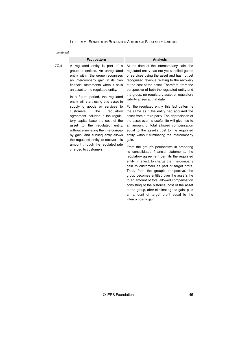| continued |                                                                                                                                                                                                                                                                                                                                                                                                                                                                                                                                                                                                                                                                             |                                                                                                                                                                                                                                                                                                                                                                                                                                                                                                                                                     |  |
|-----------|-----------------------------------------------------------------------------------------------------------------------------------------------------------------------------------------------------------------------------------------------------------------------------------------------------------------------------------------------------------------------------------------------------------------------------------------------------------------------------------------------------------------------------------------------------------------------------------------------------------------------------------------------------------------------------|-----------------------------------------------------------------------------------------------------------------------------------------------------------------------------------------------------------------------------------------------------------------------------------------------------------------------------------------------------------------------------------------------------------------------------------------------------------------------------------------------------------------------------------------------------|--|
|           | <b>Fact pattern</b>                                                                                                                                                                                                                                                                                                                                                                                                                                                                                                                                                                                                                                                         | <b>Analysis</b>                                                                                                                                                                                                                                                                                                                                                                                                                                                                                                                                     |  |
| 7C.4      | A regulated entity is part of a<br>group of entities. An unregulated<br>entity within the group recognises<br>an intercompany gain in its own<br>financial statements when it sells<br>an asset to the regulated entity.<br>In a future period, the regulated<br>entity will start using this asset in<br>supplying goods or services to<br>The<br>customers.<br>regulatory<br>agreement includes in the regula-<br>tory capital base the cost of the<br>asset to the regulated<br>entity.<br>without eliminating the intercompa-<br>ny gain, and subsequently allows<br>the regulated entity to recover this<br>amount through the regulated rate<br>charged to customers. | At the date of the intercompany sale, the<br>regulated entity has not yet supplied goods<br>or services using the asset and has not yet<br>recognised revenue relating to the recovery<br>of the cost of the asset. Therefore, from the<br>perspective of both the regulated entity and<br>the group, no regulatory asset or regulatory<br>liability arises at that date.                                                                                                                                                                           |  |
|           |                                                                                                                                                                                                                                                                                                                                                                                                                                                                                                                                                                                                                                                                             | For the regulated entity, this fact pattern is<br>the same as if the entity had acquired the<br>asset from a third party. The depreciation of<br>the asset over its useful life will give rise to<br>an amount of total allowed compensation<br>equal to the asset's cost to the regulated<br>entity, without eliminating the intercompany<br>gain.                                                                                                                                                                                                 |  |
|           |                                                                                                                                                                                                                                                                                                                                                                                                                                                                                                                                                                                                                                                                             | From the group's perspective in preparing<br>its consolidated financial statements, the<br>regulatory agreement permits the regulated<br>entity, in effect, to charge the intercompany<br>gain to customers as part of target profit.<br>Thus, from the group's perspective, the<br>group becomes entitled over the asset's life<br>to an amount of total allowed compensation<br>consisting of the historical cost of the asset<br>to the group, after eliminating the gain, plus<br>an amount of target profit equal to the<br>intercompany gain. |  |